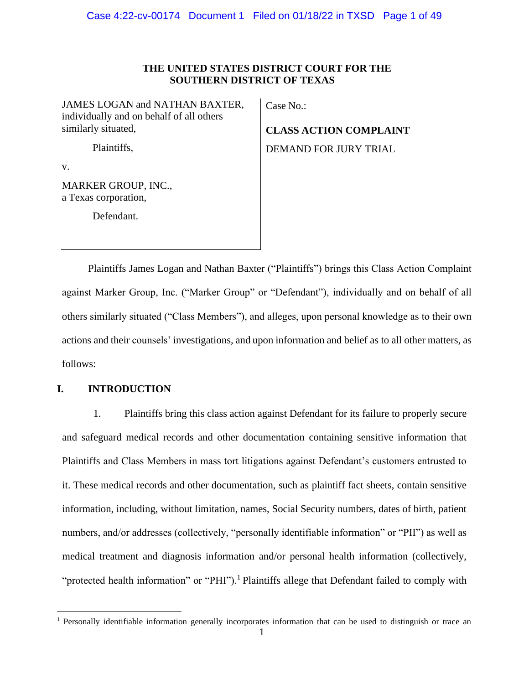# **THE UNITED STATES DISTRICT COURT FOR THE SOUTHERN DISTRICT OF TEXAS**

JAMES LOGAN and NATHAN BAXTER, individually and on behalf of all others similarly situated,

Case No.:

**CLASS ACTION COMPLAINT**

DEMAND FOR JURY TRIAL

Plaintiffs,

v.

MARKER GROUP, INC., a Texas corporation,

Defendant.

Plaintiffs James Logan and Nathan Baxter ("Plaintiffs") brings this Class Action Complaint against Marker Group, Inc. ("Marker Group" or "Defendant"), individually and on behalf of all others similarly situated ("Class Members"), and alleges, upon personal knowledge as to their own actions and their counsels' investigations, and upon information and belief as to all other matters, as follows:

# **I. INTRODUCTION**

1. Plaintiffs bring this class action against Defendant for its failure to properly secure and safeguard medical records and other documentation containing sensitive information that Plaintiffs and Class Members in mass tort litigations against Defendant's customers entrusted to it. These medical records and other documentation, such as plaintiff fact sheets, contain sensitive information, including, without limitation, names, Social Security numbers, dates of birth, patient numbers, and/or addresses (collectively, "personally identifiable information" or "PII") as well as medical treatment and diagnosis information and/or personal health information (collectively, "protected health information" or "PHI").<sup>1</sup> Plaintiffs allege that Defendant failed to comply with

<sup>&</sup>lt;sup>1</sup> Personally identifiable information generally incorporates information that can be used to distinguish or trace an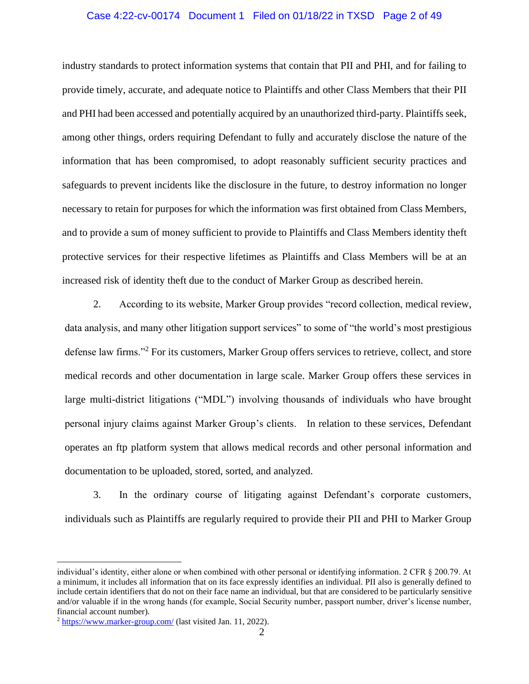#### Case 4:22-cv-00174 Document 1 Filed on 01/18/22 in TXSD Page 2 of 49

industry standards to protect information systems that contain that PII and PHI, and for failing to provide timely, accurate, and adequate notice to Plaintiffs and other Class Members that their PII and PHI had been accessed and potentially acquired by an unauthorized third-party. Plaintiffs seek, among other things, orders requiring Defendant to fully and accurately disclose the nature of the information that has been compromised, to adopt reasonably sufficient security practices and safeguards to prevent incidents like the disclosure in the future, to destroy information no longer necessary to retain for purposes for which the information was first obtained from Class Members, and to provide a sum of money sufficient to provide to Plaintiffs and Class Members identity theft protective services for their respective lifetimes as Plaintiffs and Class Members will be at an increased risk of identity theft due to the conduct of Marker Group as described herein.

2. According to its website, Marker Group provides "record collection, medical review, data analysis, and many other litigation support services" to some of "the world's most prestigious defense law firms."<sup>2</sup> For its customers, Marker Group offers services to retrieve, collect, and store medical records and other documentation in large scale. Marker Group offers these services in large multi-district litigations ("MDL") involving thousands of individuals who have brought personal injury claims against Marker Group's clients. In relation to these services, Defendant operates an ftp platform system that allows medical records and other personal information and documentation to be uploaded, stored, sorted, and analyzed.

3. In the ordinary course of litigating against Defendant's corporate customers, individuals such as Plaintiffs are regularly required to provide their PII and PHI to Marker Group

individual's identity, either alone or when combined with other personal or identifying information. 2 CFR § 200.79. At a minimum, it includes all information that on its face expressly identifies an individual. PII also is generally defined to include certain identifiers that do not on their face name an individual, but that are considered to be particularly sensitive and/or valuable if in the wrong hands (for example, Social Security number, passport number, driver's license number, financial account number).

<sup>&</sup>lt;sup>2</sup> <https://www.marker-group.com/> (last visited Jan. 11, 2022).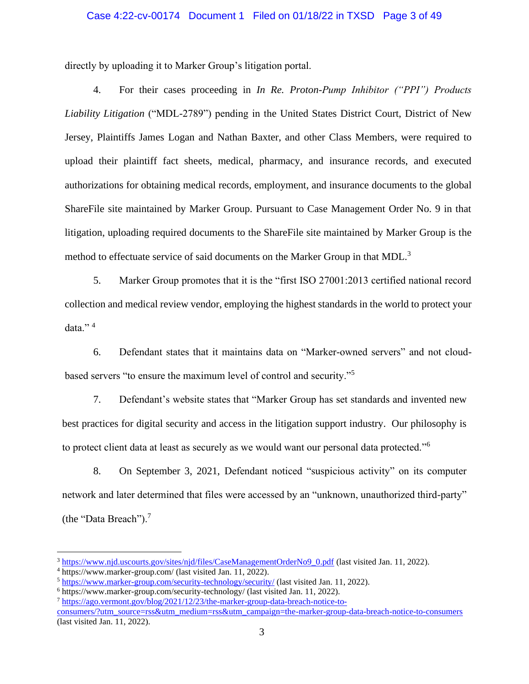#### Case 4:22-cv-00174 Document 1 Filed on 01/18/22 in TXSD Page 3 of 49

directly by uploading it to Marker Group's litigation portal.

4. For their cases proceeding in *In Re. Proton-Pump Inhibitor ("PPI") Products Liability Litigation* ("MDL-2789") pending in the United States District Court, District of New Jersey, Plaintiffs James Logan and Nathan Baxter, and other Class Members, were required to upload their plaintiff fact sheets, medical, pharmacy, and insurance records, and executed authorizations for obtaining medical records, employment, and insurance documents to the global ShareFile site maintained by Marker Group. Pursuant to Case Management Order No. 9 in that litigation, uploading required documents to the ShareFile site maintained by Marker Group is the method to effectuate service of said documents on the Marker Group in that MDL.<sup>3</sup>

5. Marker Group promotes that it is the "first ISO 27001:2013 certified national record collection and medical review vendor, employing the highest standards in the world to protect your data."<sup>4</sup>

6. Defendant states that it maintains data on "Marker-owned servers" and not cloudbased servers "to ensure the maximum level of control and security."<sup>5</sup>

7. Defendant's website states that "Marker Group has set standards and invented new best practices for digital security and access in the litigation support industry. Our philosophy is to protect client data at least as securely as we would want our personal data protected."<sup>6</sup>

8. On September 3, 2021, Defendant noticed "suspicious activity" on its computer network and later determined that files were accessed by an "unknown, unauthorized third-party" (the "Data Breach").<sup>7</sup>

<sup>&</sup>lt;sup>3</sup> [https://www.njd.uscourts.gov/sites/njd/files/CaseManagementOrderNo9\\_0.pdf](https://www.njd.uscourts.gov/sites/njd/files/CaseManagementOrderNo9_0.pdf) (last visited Jan. 11, 2022).

<sup>4</sup> https://www.marker-group.com/ (last visited Jan. 11, 2022).

<sup>5</sup> <https://www.marker-group.com/security-technology/security/> (last visited Jan. 11, 2022).

<sup>6</sup> https://www.marker-group.com/security-technology/ (last visited Jan. 11, 2022).

<sup>7</sup> [https://ago.vermont.gov/blog/2021/12/23/the-marker-group-data-breach-notice-to-](https://ago.vermont.gov/blog/2021/12/23/the-marker-group-data-breach-notice-to-consumers/?utm_source=rss&utm_medium=rss&utm_campaign=the-marker-group-data-breach-notice-to-consumers)

[consumers/?utm\\_source=rss&utm\\_medium=rss&utm\\_campaign=the-marker-group-data-breach-notice-to-consumers](https://ago.vermont.gov/blog/2021/12/23/the-marker-group-data-breach-notice-to-consumers/?utm_source=rss&utm_medium=rss&utm_campaign=the-marker-group-data-breach-notice-to-consumers) (last visited Jan. 11, 2022).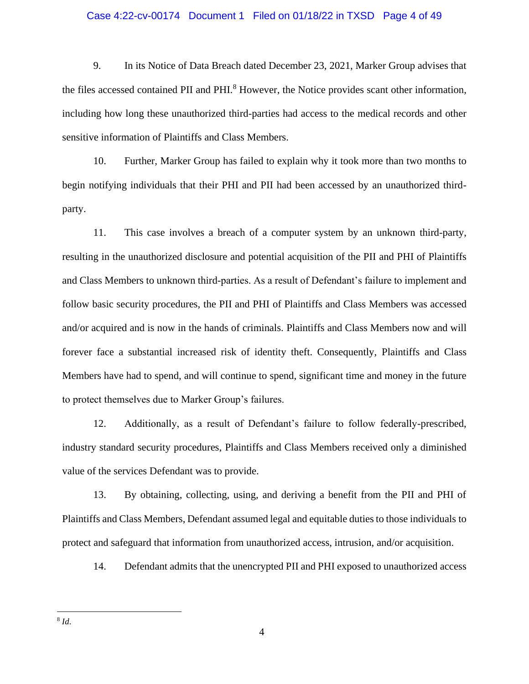#### Case 4:22-cv-00174 Document 1 Filed on 01/18/22 in TXSD Page 4 of 49

9. In its Notice of Data Breach dated December 23, 2021, Marker Group advises that the files accessed contained PII and PHI.<sup>8</sup> However, the Notice provides scant other information, including how long these unauthorized third-parties had access to the medical records and other sensitive information of Plaintiffs and Class Members.

10. Further, Marker Group has failed to explain why it took more than two months to begin notifying individuals that their PHI and PII had been accessed by an unauthorized thirdparty.

11. This case involves a breach of a computer system by an unknown third-party, resulting in the unauthorized disclosure and potential acquisition of the PII and PHI of Plaintiffs and Class Members to unknown third-parties. As a result of Defendant's failure to implement and follow basic security procedures, the PII and PHI of Plaintiffs and Class Members was accessed and/or acquired and is now in the hands of criminals. Plaintiffs and Class Members now and will forever face a substantial increased risk of identity theft. Consequently, Plaintiffs and Class Members have had to spend, and will continue to spend, significant time and money in the future to protect themselves due to Marker Group's failures.

12. Additionally, as a result of Defendant's failure to follow federally-prescribed, industry standard security procedures, Plaintiffs and Class Members received only a diminished value of the services Defendant was to provide.

13. By obtaining, collecting, using, and deriving a benefit from the PII and PHI of Plaintiffs and Class Members, Defendant assumed legal and equitable dutiesto those individuals to protect and safeguard that information from unauthorized access, intrusion, and/or acquisition.

14. Defendant admits that the unencrypted PII and PHI exposed to unauthorized access

8 *Id*.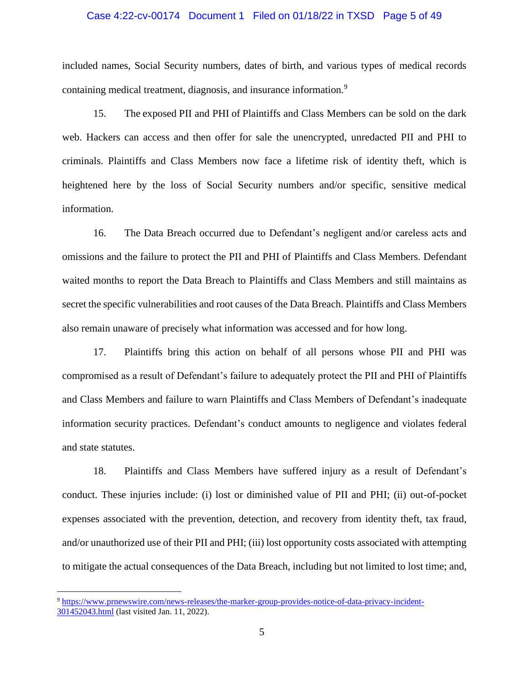#### Case 4:22-cv-00174 Document 1 Filed on 01/18/22 in TXSD Page 5 of 49

included names, Social Security numbers, dates of birth, and various types of medical records containing medical treatment, diagnosis, and insurance information.<sup>9</sup>

15. The exposed PII and PHI of Plaintiffs and Class Members can be sold on the dark web. Hackers can access and then offer for sale the unencrypted, unredacted PII and PHI to criminals. Plaintiffs and Class Members now face a lifetime risk of identity theft, which is heightened here by the loss of Social Security numbers and/or specific, sensitive medical information.

16. The Data Breach occurred due to Defendant's negligent and/or careless acts and omissions and the failure to protect the PII and PHI of Plaintiffs and Class Members. Defendant waited months to report the Data Breach to Plaintiffs and Class Members and still maintains as secret the specific vulnerabilities and root causes of the Data Breach. Plaintiffs and Class Members also remain unaware of precisely what information was accessed and for how long.

17. Plaintiffs bring this action on behalf of all persons whose PII and PHI was compromised as a result of Defendant's failure to adequately protect the PII and PHI of Plaintiffs and Class Members and failure to warn Plaintiffs and Class Members of Defendant's inadequate information security practices. Defendant's conduct amounts to negligence and violates federal and state statutes.

18. Plaintiffs and Class Members have suffered injury as a result of Defendant's conduct. These injuries include: (i) lost or diminished value of PII and PHI; (ii) out-of-pocket expenses associated with the prevention, detection, and recovery from identity theft, tax fraud, and/or unauthorized use of their PII and PHI; (iii) lost opportunity costs associated with attempting to mitigate the actual consequences of the Data Breach, including but not limited to lost time; and,

<sup>9</sup> [https://www.prnewswire.com/news-releases/the-marker-group-provides-notice-of-data-privacy-incident-](https://www.prnewswire.com/news-releases/the-marker-group-provides-notice-of-data-privacy-incident-301452043.html)[301452043.html](https://www.prnewswire.com/news-releases/the-marker-group-provides-notice-of-data-privacy-incident-301452043.html) (last visited Jan. 11, 2022).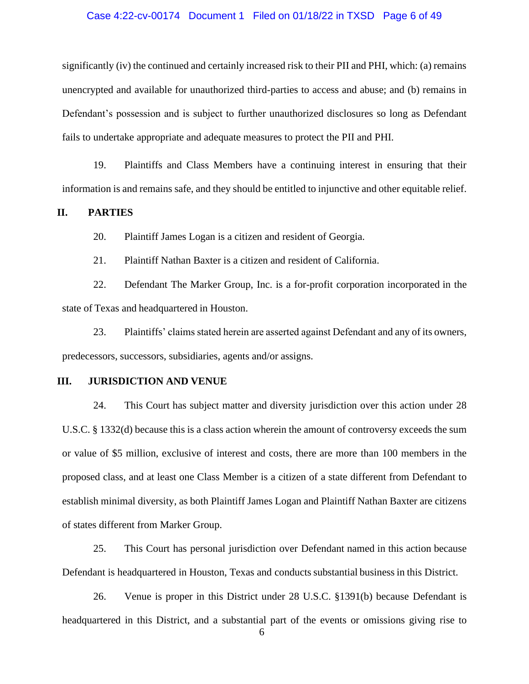#### Case 4:22-cv-00174 Document 1 Filed on 01/18/22 in TXSD Page 6 of 49

significantly (iv) the continued and certainly increased risk to their PII and PHI, which: (a) remains unencrypted and available for unauthorized third-parties to access and abuse; and (b) remains in Defendant's possession and is subject to further unauthorized disclosures so long as Defendant fails to undertake appropriate and adequate measures to protect the PII and PHI.

19. Plaintiffs and Class Members have a continuing interest in ensuring that their information is and remains safe, and they should be entitled to injunctive and other equitable relief.

#### **II. PARTIES**

20. Plaintiff James Logan is a citizen and resident of Georgia.

21. Plaintiff Nathan Baxter is a citizen and resident of California.

22. Defendant The Marker Group, Inc. is a for-profit corporation incorporated in the state of Texas and headquartered in Houston.

23. Plaintiffs' claims stated herein are asserted against Defendant and any of its owners, predecessors, successors, subsidiaries, agents and/or assigns.

## **III. JURISDICTION AND VENUE**

24. This Court has subject matter and diversity jurisdiction over this action under 28 U.S.C. § 1332(d) because this is a class action wherein the amount of controversy exceeds the sum or value of \$5 million, exclusive of interest and costs, there are more than 100 members in the proposed class, and at least one Class Member is a citizen of a state different from Defendant to establish minimal diversity, as both Plaintiff James Logan and Plaintiff Nathan Baxter are citizens of states different from Marker Group.

25. This Court has personal jurisdiction over Defendant named in this action because Defendant is headquartered in Houston, Texas and conducts substantial businessin this District.

26. Venue is proper in this District under 28 U.S.C. §1391(b) because Defendant is headquartered in this District, and a substantial part of the events or omissions giving rise to

6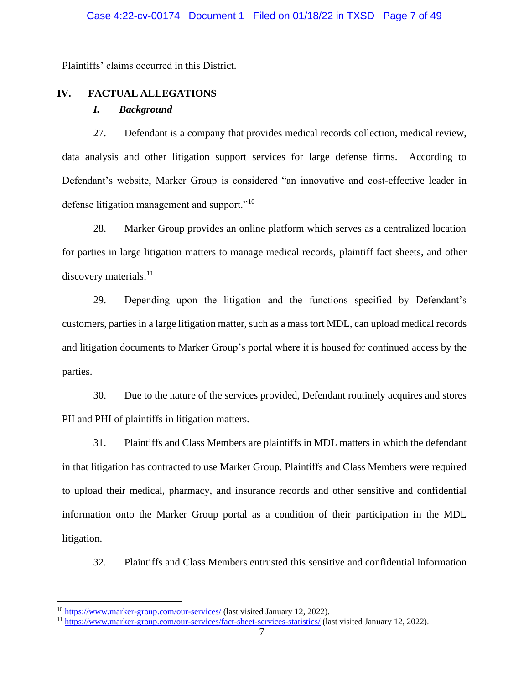Plaintiffs' claims occurred in this District.

# **IV. FACTUAL ALLEGATIONS**

# *I. Background*

27. Defendant is a company that provides medical records collection, medical review, data analysis and other litigation support services for large defense firms. According to Defendant's website, Marker Group is considered "an innovative and cost-effective leader in defense litigation management and support."<sup>10</sup>

28. Marker Group provides an online platform which serves as a centralized location for parties in large litigation matters to manage medical records, plaintiff fact sheets, and other discovery materials. $^{11}$ 

29. Depending upon the litigation and the functions specified by Defendant's customers, parties in a large litigation matter, such as a mass tort MDL, can upload medical records and litigation documents to Marker Group's portal where it is housed for continued access by the parties.

30. Due to the nature of the services provided, Defendant routinely acquires and stores PII and PHI of plaintiffs in litigation matters.

31. Plaintiffs and Class Members are plaintiffs in MDL matters in which the defendant in that litigation has contracted to use Marker Group. Plaintiffs and Class Members were required to upload their medical, pharmacy, and insurance records and other sensitive and confidential information onto the Marker Group portal as a condition of their participation in the MDL litigation.

32. Plaintiffs and Class Members entrusted this sensitive and confidential information

<sup>&</sup>lt;sup>10</sup> <https://www.marker-group.com/our-services/> (last visited January 12, 2022).

<sup>11</sup> <https://www.marker-group.com/our-services/fact-sheet-services-statistics/> (last visited January 12, 2022).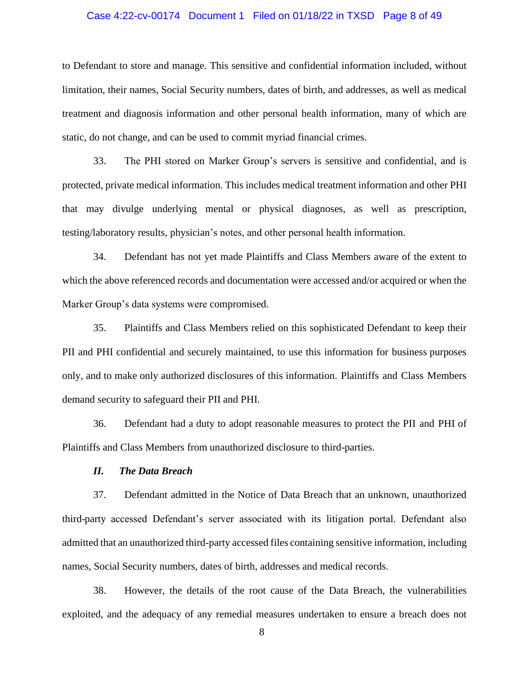#### Case 4:22-cv-00174 Document 1 Filed on 01/18/22 in TXSD Page 8 of 49

to Defendant to store and manage. This sensitive and confidential information included, without limitation, their names, Social Security numbers, dates of birth, and addresses, as well as medical treatment and diagnosis information and other personal health information, many of which are static, do not change, and can be used to commit myriad financial crimes.

33. The PHI stored on Marker Group's servers is sensitive and confidential, and is protected, private medical information. This includes medical treatment information and other PHI that may divulge underlying mental or physical diagnoses, as well as prescription, testing/laboratory results, physician's notes, and other personal health information.

34. Defendant has not yet made Plaintiffs and Class Members aware of the extent to which the above referenced records and documentation were accessed and/or acquired or when the Marker Group's data systems were compromised.

35. Plaintiffs and Class Members relied on this sophisticated Defendant to keep their PII and PHI confidential and securely maintained, to use this information for business purposes only, and to make only authorized disclosures of this information. Plaintiffs and Class Members demand security to safeguard their PII and PHI.

36. Defendant had a duty to adopt reasonable measures to protect the PII and PHI of Plaintiffs and Class Members from unauthorized disclosure to third-parties.

# *II. The Data Breach*

37. Defendant admitted in the Notice of Data Breach that an unknown, unauthorized third-party accessed Defendant's server associated with its litigation portal. Defendant also admitted that an unauthorized third-party accessed files containing sensitive information, including names, Social Security numbers, dates of birth, addresses and medical records.

38. However, the details of the root cause of the Data Breach, the vulnerabilities exploited, and the adequacy of any remedial measures undertaken to ensure a breach does not

8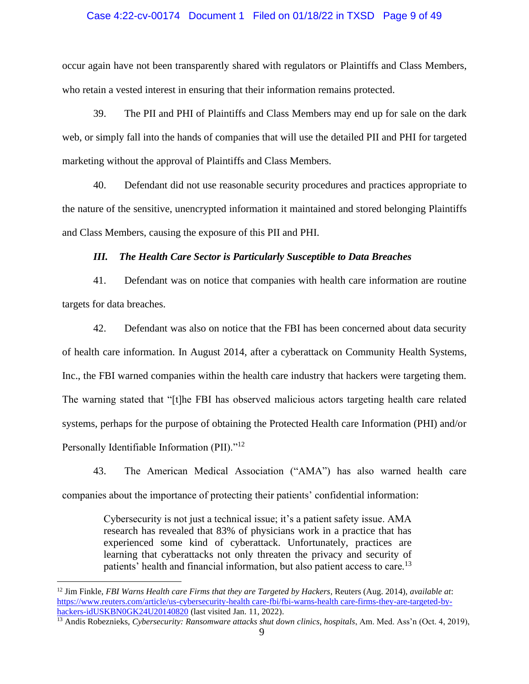#### Case 4:22-cv-00174 Document 1 Filed on 01/18/22 in TXSD Page 9 of 49

occur again have not been transparently shared with regulators or Plaintiffs and Class Members, who retain a vested interest in ensuring that their information remains protected.

39. The PII and PHI of Plaintiffs and Class Members may end up for sale on the dark web, or simply fall into the hands of companies that will use the detailed PII and PHI for targeted marketing without the approval of Plaintiffs and Class Members.

40. Defendant did not use reasonable security procedures and practices appropriate to the nature of the sensitive, unencrypted information it maintained and stored belonging Plaintiffs and Class Members, causing the exposure of this PII and PHI.

# *III. The Health Care Sector is Particularly Susceptible to Data Breaches*

41. Defendant was on notice that companies with health care information are routine targets for data breaches.

42. Defendant was also on notice that the FBI has been concerned about data security of health care information. In August 2014, after a cyberattack on Community Health Systems, Inc., the FBI warned companies within the health care industry that hackers were targeting them. The warning stated that "[t]he FBI has observed malicious actors targeting health care related systems, perhaps for the purpose of obtaining the Protected Health care Information (PHI) and/or Personally Identifiable Information (PII)."<sup>12</sup>

43. The American Medical Association ("AMA") has also warned health care companies about the importance of protecting their patients' confidential information:

> Cybersecurity is not just a technical issue; it's a patient safety issue. AMA research has revealed that 83% of physicians work in a practice that has experienced some kind of cyberattack. Unfortunately, practices are learning that cyberattacks not only threaten the privacy and security of patients' health and financial information, but also patient access to care.<sup>13</sup>

<sup>12</sup> Jim Finkle, *FBI Warns Health care Firms that they are Targeted by Hackers*, Reuters (Aug. 2014), *available at*: [https://www.reuters.com/article/us-cybersecurity-health care-fbi/fbi-warns-health care-firms-they-are-targeted-by](https://www.reuters.com/article/us-cybersecurity-healthcare-fbi/fbi-warns-healthcare-firms-they-are-targeted-by-hackers-idUSKBN0GK24U20140820)[hackers-idUSKBN0GK24U20140820](https://www.reuters.com/article/us-cybersecurity-healthcare-fbi/fbi-warns-healthcare-firms-they-are-targeted-by-hackers-idUSKBN0GK24U20140820) (last visited Jan. 11, 2022).

<sup>&</sup>lt;sup>13</sup> Andis Robeznieks, *Cybersecurity: Ransomware attacks shut down clinics, hospitals*, Am. Med. Ass'n (Oct. 4, 2019),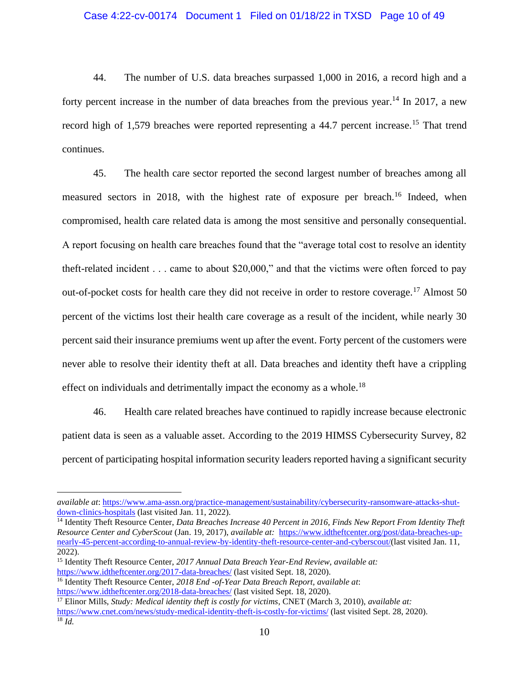#### Case 4:22-cv-00174 Document 1 Filed on 01/18/22 in TXSD Page 10 of 49

44. The number of U.S. data breaches surpassed 1,000 in 2016, a record high and a forty percent increase in the number of data breaches from the previous year.<sup>14</sup> In 2017, a new record high of 1,579 breaches were reported representing a 44.7 percent increase.<sup>15</sup> That trend continues.

45. The health care sector reported the second largest number of breaches among all measured sectors in 2018, with the highest rate of exposure per breach.<sup>16</sup> Indeed, when compromised, health care related data is among the most sensitive and personally consequential. A report focusing on health care breaches found that the "average total cost to resolve an identity theft-related incident . . . came to about \$20,000," and that the victims were often forced to pay out-of-pocket costs for health care they did not receive in order to restore coverage.<sup>17</sup> Almost 50 percent of the victims lost their health care coverage as a result of the incident, while nearly 30 percent said their insurance premiums went up after the event. Forty percent of the customers were never able to resolve their identity theft at all. Data breaches and identity theft have a crippling effect on individuals and detrimentally impact the economy as a whole.<sup>18</sup>

46. Health care related breaches have continued to rapidly increase because electronic patient data is seen as a valuable asset. According to the 2019 HIMSS Cybersecurity Survey, 82 percent of participating hospital information security leaders reported having a significant security

<sup>17</sup> Elinor Mills, *Study: Medical identity theft is costly for victims*, CNET (March 3, 2010), *available at:*  <https://www.cnet.com/news/study-medical-identity-theft-is-costly-for-victims/> (last visited Sept. 28, 2020).  $^{18}$  *Id.* 

*available at*: [https://www.ama-assn.org/practice-management/sustainability/cybersecurity-ransomware-attacks-shut](https://www.ama-assn.org/practice-management/sustainability/cybersecurity-ransomware-attacks-shut-down-clinics-hospitals)[down-clinics-hospitals](https://www.ama-assn.org/practice-management/sustainability/cybersecurity-ransomware-attacks-shut-down-clinics-hospitals) (last visited Jan. 11, 2022).

<sup>14</sup> Identity Theft Resource Center, *Data Breaches Increase 40 Percent in 2016, Finds New Report From Identity Theft Resource Center and CyberScout* (Jan. 19, 2017), *available at:* https://www.idtheftcenter.org/post/data-breaches-upnearly-45-percent-according-to-annual-review-by-identity-theft-resource-center-and-cyberscout/(last visited Jan. 11, 2022).

<sup>15</sup> Identity Theft Resource Center, *2017 Annual Data Breach Year-End Review, available at:*  <https://www.idtheftcenter.org/2017-data-breaches/> (last visited Sept. 18, 2020).

<sup>16</sup> Identity Theft Resource Center, *2018 End -of-Year Data Breach Report, available at*: <https://www.idtheftcenter.org/2018-data-breaches/> (last visited Sept. 18, 2020).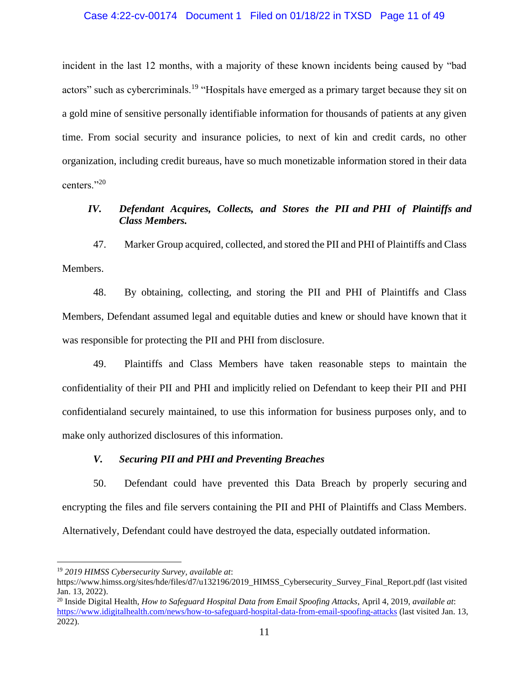incident in the last 12 months, with a majority of these known incidents being caused by "bad actors" such as cybercriminals.<sup>19</sup> "Hospitals have emerged as a primary target because they sit on a gold mine of sensitive personally identifiable information for thousands of patients at any given time. From social security and insurance policies, to next of kin and credit cards, no other organization, including credit bureaus, have so much monetizable information stored in their data centers."<sup>20</sup>

# *IV. Defendant Acquires, Collects, and Stores the PII and PHI of Plaintiffs and Class Members.*

47. Marker Group acquired, collected, and stored the PII and PHI of Plaintiffs and Class Members.

48. By obtaining, collecting, and storing the PII and PHI of Plaintiffs and Class Members, Defendant assumed legal and equitable duties and knew or should have known that it was responsible for protecting the PII and PHI from disclosure.

49. Plaintiffs and Class Members have taken reasonable steps to maintain the confidentiality of their PII and PHI and implicitly relied on Defendant to keep their PII and PHI confidentialand securely maintained, to use this information for business purposes only, and to make only authorized disclosures of this information.

# *V. Securing PII and PHI and Preventing Breaches*

50. Defendant could have prevented this Data Breach by properly securing and encrypting the files and file servers containing the PII and PHI of Plaintiffs and Class Members. Alternatively, Defendant could have destroyed the data, especially outdated information.

<sup>19</sup> *2019 HIMSS Cybersecurity Survey, available at*:

https://www.himss.org/sites/hde/files/d7/u132196/2019\_HIMSS\_Cybersecurity\_Survey\_Final\_Report.pdf (last visited Jan. 13, 2022).

<sup>20</sup> Inside Digital Health, *How to Safeguard Hospital Data from Email Spoofing Attacks*, April 4, 2019, *available at*: <https://www.idigitalhealth.com/news/how-to-safeguard-hospital-data-from-email-spoofing-attacks> (last visited Jan. 13, 2022).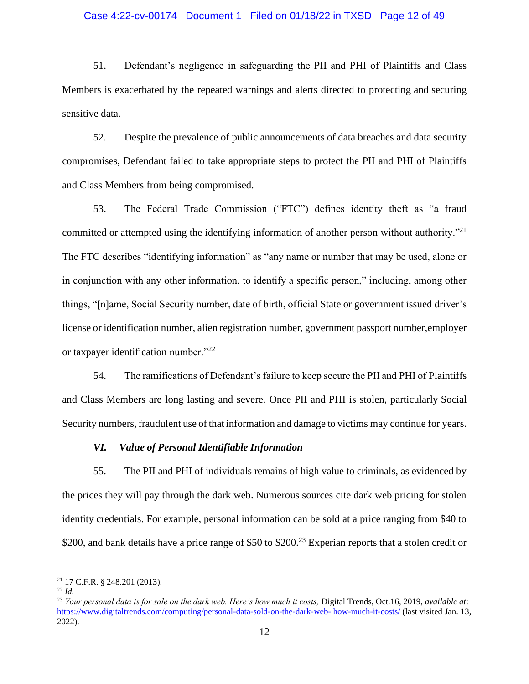#### Case 4:22-cv-00174 Document 1 Filed on 01/18/22 in TXSD Page 12 of 49

51. Defendant's negligence in safeguarding the PII and PHI of Plaintiffs and Class Members is exacerbated by the repeated warnings and alerts directed to protecting and securing sensitive data.

52. Despite the prevalence of public announcements of data breaches and data security compromises, Defendant failed to take appropriate steps to protect the PII and PHI of Plaintiffs and Class Members from being compromised.

53. The Federal Trade Commission ("FTC") defines identity theft as "a fraud committed or attempted using the identifying information of another person without authority."<sup>21</sup> The FTC describes "identifying information" as "any name or number that may be used, alone or in conjunction with any other information, to identify a specific person," including, among other things, "[n]ame, Social Security number, date of birth, official State or government issued driver's license or identification number, alien registration number, government passport number,employer or taxpayer identification number."<sup>22</sup>

54. The ramifications of Defendant's failure to keep secure the PII and PHI of Plaintiffs and Class Members are long lasting and severe. Once PII and PHI is stolen, particularly Social Security numbers, fraudulent use of that information and damage to victims may continue for years.

# *VI. Value of Personal Identifiable Information*

55. The PII and PHI of individuals remains of high value to criminals, as evidenced by the prices they will pay through the dark web. Numerous sources cite dark web pricing for stolen identity credentials. For example, personal information can be sold at a price ranging from \$40 to \$200, and bank details have a price range of \$50 to \$200.<sup>23</sup> Experian reports that a stolen credit or

<sup>21</sup> 17 C.F.R. § 248.201 (2013).

<sup>22</sup> *Id.*

<sup>&</sup>lt;sup>23</sup> *Your personal data is for sale on the dark web. Here's how much it costs, Digital Trends, Oct.16, 2019, <i>available at:* [https://www.digitaltrends.com/computing/personal-data-sold-on-the-dark-web-](https://www.digitaltrends.com/computing/personal-data-sold-on-the-dark-web-how-much-it-costs/) [how-much-it-costs/ \(](https://www.digitaltrends.com/computing/personal-data-sold-on-the-dark-web-how-much-it-costs/)last visited Jan. 13, 2022).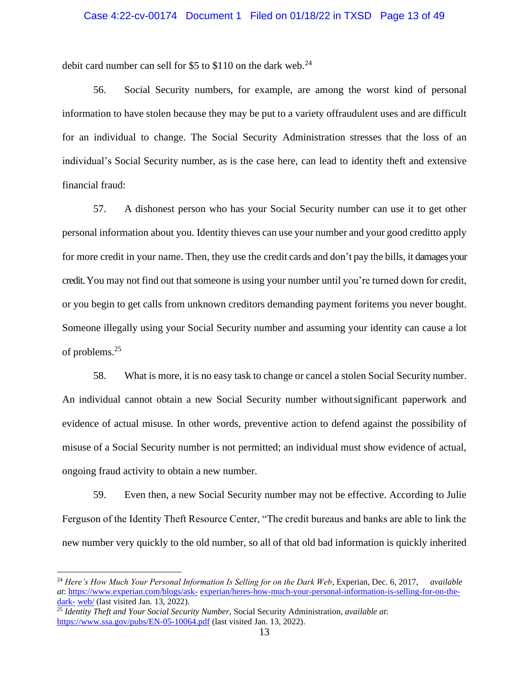#### Case 4:22-cv-00174 Document 1 Filed on 01/18/22 in TXSD Page 13 of 49

debit card number can sell for \$5 to \$110 on the dark web. $^{24}$ 

56. Social Security numbers, for example, are among the worst kind of personal information to have stolen because they may be put to a variety offraudulent uses and are difficult for an individual to change. The Social Security Administration stresses that the loss of an individual's Social Security number, as is the case here, can lead to identity theft and extensive financial fraud:

57. A dishonest person who has your Social Security number can use it to get other personal information about you. Identity thieves can use your number and your good creditto apply for more credit in your name. Then, they use the credit cards and don't pay the bills, it damages your credit. You may not find out that someone is using your number until you're turned down for credit, or you begin to get calls from unknown creditors demanding payment foritems you never bought. Someone illegally using your Social Security number and assuming your identity can cause a lot of problems.<sup>25</sup>

58. What is more, it is no easy task to change or cancel a stolen Social Security number. An individual cannot obtain a new Social Security number withoutsignificant paperwork and evidence of actual misuse. In other words, preventive action to defend against the possibility of misuse of a Social Security number is not permitted; an individual must show evidence of actual, ongoing fraud activity to obtain a new number.

59. Even then, a new Social Security number may not be effective. According to Julie Ferguson of the Identity Theft Resource Center, "The credit bureaus and banks are able to link the new number very quickly to the old number, so all of that old bad information is quickly inherited

<sup>24</sup> *Here's How Much Your Personal Information Is Selling for on the Dark Web*, Experian, Dec. 6, 2017, *available at*:<https://www.experian.com/blogs/ask-> [experian/heres-how-much-your-personal-information-is-selling-for-on-the](https://www.experian.com/blogs/ask-experian/heres-how-much-your-personal-information-is-selling-for-on-the-dark-web/)[dark-](https://www.experian.com/blogs/ask-experian/heres-how-much-your-personal-information-is-selling-for-on-the-dark-web/) [web/](https://www.experian.com/blogs/ask-experian/heres-how-much-your-personal-information-is-selling-for-on-the-dark-web/) (last visited Jan. 13, 2022).

<sup>25</sup> *Identity Theft and Your Social Security Number*, Social Security Administration, *available at*: <https://www.ssa.gov/pubs/EN-05-10064.pdf> (last visited Jan. 13, 2022).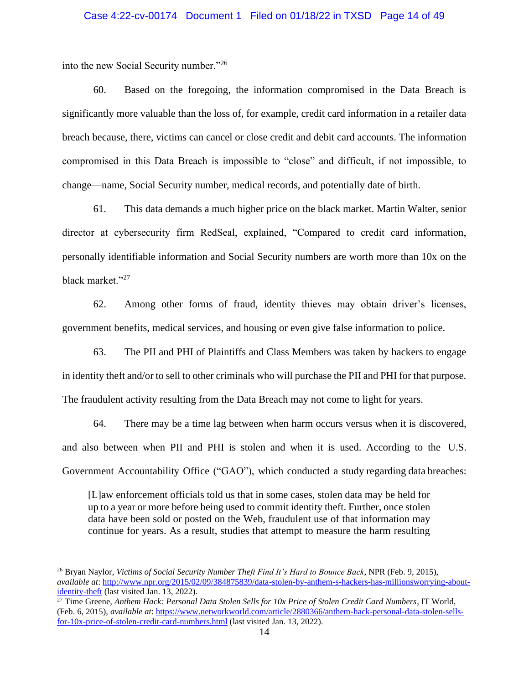#### Case 4:22-cv-00174 Document 1 Filed on 01/18/22 in TXSD Page 14 of 49

into the new Social Security number."<sup>26</sup>

60. Based on the foregoing, the information compromised in the Data Breach is significantly more valuable than the loss of, for example, credit card information in a retailer data breach because, there, victims can cancel or close credit and debit card accounts. The information compromised in this Data Breach is impossible to "close" and difficult, if not impossible, to change—name, Social Security number, medical records, and potentially date of birth.

61. This data demands a much higher price on the black market. Martin Walter, senior director at cybersecurity firm RedSeal, explained, "Compared to credit card information, personally identifiable information and Social Security numbers are worth more than 10x on the black market."<sup>27</sup>

62. Among other forms of fraud, identity thieves may obtain driver's licenses, government benefits, medical services, and housing or even give false information to police.

63. The PII and PHI of Plaintiffs and Class Members was taken by hackers to engage in identity theft and/or to sell to other criminals who will purchase the PII and PHI for that purpose. The fraudulent activity resulting from the Data Breach may not come to light for years.

64. There may be a time lag between when harm occurs versus when it is discovered, and also between when PII and PHI is stolen and when it is used. According to the U.S. Government Accountability Office ("GAO"), which conducted a study regarding data breaches:

[L]aw enforcement officials told us that in some cases, stolen data may be held for up to a year or more before being used to commit identity theft. Further, once stolen data have been sold or posted on the Web, fraudulent use of that information may continue for years. As a result, studies that attempt to measure the harm resulting

<sup>26</sup> Bryan Naylor, *Victims of Social Security Number Theft Find It's Hard to Bounce Back*, NPR (Feb. 9, 2015), *available at*: [http://www.npr.org/2015/02/09/384875839/data-stolen-by-anthem-s-hackers-has-millionsworrying-about](http://www.npr.org/2015/02/09/384875839/data-stolen-by-anthem-s-hackers-has-millionsworrying-about-identity-theft)[identity-theft](http://www.npr.org/2015/02/09/384875839/data-stolen-by-anthem-s-hackers-has-millionsworrying-about-identity-theft) (last visited Jan. 13, 2022).

<sup>27</sup> Time Greene, *Anthem Hack: Personal Data Stolen Sells for 10x Price of Stolen Credit Card Numbers*, IT World, (Feb. 6, 2015), *available at*[: https://www.networkworld.com/article/2880366/anthem-hack-personal-data-stolen-sells](https://www.networkworld.com/article/2880366/anthem-hack-personal-data-stolen-sells-for-10x-price-of-stolen-credit-card-numbers.html)[for-10x-price-of-stolen-credit-card-numbers.html](https://www.networkworld.com/article/2880366/anthem-hack-personal-data-stolen-sells-for-10x-price-of-stolen-credit-card-numbers.html) (last visited Jan. 13, 2022).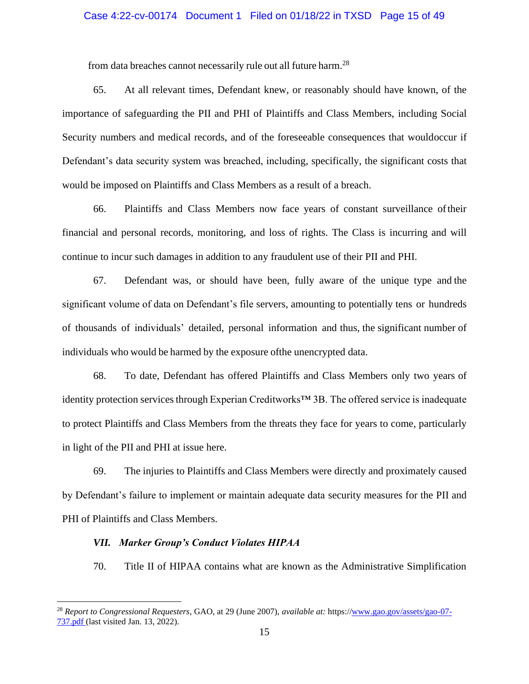#### Case 4:22-cv-00174 Document 1 Filed on 01/18/22 in TXSD Page 15 of 49

from data breaches cannot necessarily rule out all future harm.<sup>28</sup>

65. At all relevant times, Defendant knew, or reasonably should have known, of the importance of safeguarding the PII and PHI of Plaintiffs and Class Members, including Social Security numbers and medical records, and of the foreseeable consequences that wouldoccur if Defendant's data security system was breached, including, specifically, the significant costs that would be imposed on Plaintiffs and Class Members as a result of a breach.

66. Plaintiffs and Class Members now face years of constant surveillance oftheir financial and personal records, monitoring, and loss of rights. The Class is incurring and will continue to incur such damages in addition to any fraudulent use of their PII and PHI.

67. Defendant was, or should have been, fully aware of the unique type and the significant volume of data on Defendant's file servers, amounting to potentially tens or hundreds of thousands of individuals' detailed, personal information and thus, the significant number of individuals who would be harmed by the exposure ofthe unencrypted data.

68. To date, Defendant has offered Plaintiffs and Class Members only two years of identity protection services through Experian Creditworks™ 3B. The offered service is inadequate to protect Plaintiffs and Class Members from the threats they face for years to come, particularly in light of the PII and PHI at issue here.

69. The injuries to Plaintiffs and Class Members were directly and proximately caused by Defendant's failure to implement or maintain adequate data security measures for the PII and PHI of Plaintiffs and Class Members.

# *VII. Marker Group's Conduct Violates HIPAA*

70. Title II of HIPAA contains what are known as the Administrative Simplification

<sup>28</sup> *Report to Congressional Requesters*, GAO, at 29 (June 2007), *available at:* https:/[/www.gao.gov/assets/gao-07-](www.gao.gov/assets/gao-07-737.pdf) [737.pdf \(](www.gao.gov/assets/gao-07-737.pdf)last visited Jan. 13, 2022).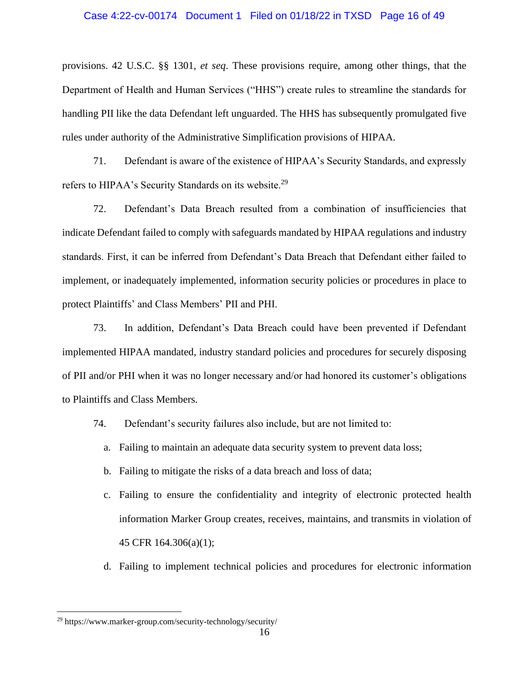#### Case 4:22-cv-00174 Document 1 Filed on 01/18/22 in TXSD Page 16 of 49

provisions. 42 U.S.C. §§ 1301, *et seq*. These provisions require, among other things, that the Department of Health and Human Services ("HHS") create rules to streamline the standards for handling PII like the data Defendant left unguarded. The HHS has subsequently promulgated five rules under authority of the Administrative Simplification provisions of HIPAA.

71. Defendant is aware of the existence of HIPAA's Security Standards, and expressly refers to HIPAA's Security Standards on its website.<sup>29</sup>

72. Defendant's Data Breach resulted from a combination of insufficiencies that indicate Defendant failed to comply with safeguards mandated by HIPAA regulations and industry standards. First, it can be inferred from Defendant's Data Breach that Defendant either failed to implement, or inadequately implemented, information security policies or procedures in place to protect Plaintiffs' and Class Members' PII and PHI.

73. In addition, Defendant's Data Breach could have been prevented if Defendant implemented HIPAA mandated, industry standard policies and procedures for securely disposing of PII and/or PHI when it was no longer necessary and/or had honored its customer's obligations to Plaintiffs and Class Members.

- 74. Defendant's security failures also include, but are not limited to:
	- a. Failing to maintain an adequate data security system to prevent data loss;
	- b. Failing to mitigate the risks of a data breach and loss of data;
	- c. Failing to ensure the confidentiality and integrity of electronic protected health information Marker Group creates, receives, maintains, and transmits in violation of 45 CFR 164.306(a)(1);
	- d. Failing to implement technical policies and procedures for electronic information

<sup>29</sup> https://www.marker-group.com/security-technology/security/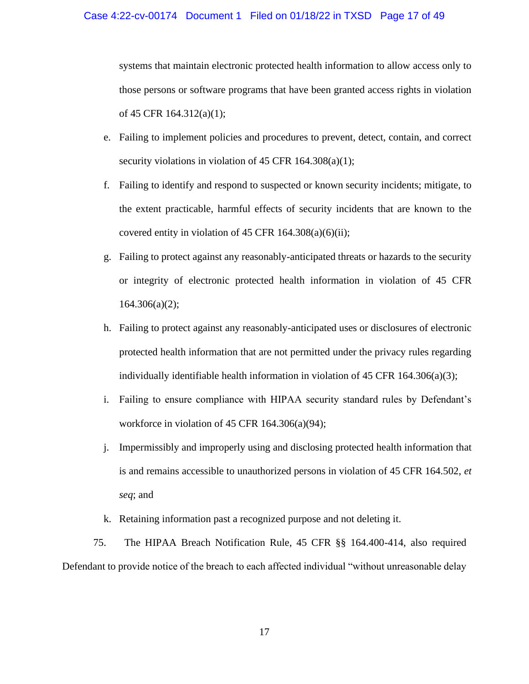#### Case 4:22-cv-00174 Document 1 Filed on 01/18/22 in TXSD Page 17 of 49

systems that maintain electronic protected health information to allow access only to those persons or software programs that have been granted access rights in violation of 45 CFR 164.312(a)(1);

- e. Failing to implement policies and procedures to prevent, detect, contain, and correct security violations in violation of 45 CFR 164.308(a)(1);
- f. Failing to identify and respond to suspected or known security incidents; mitigate, to the extent practicable, harmful effects of security incidents that are known to the covered entity in violation of 45 CFR  $164.308(a)(6)(ii)$ ;
- g. Failing to protect against any reasonably-anticipated threats or hazards to the security or integrity of electronic protected health information in violation of 45 CFR  $164.306(a)(2);$
- h. Failing to protect against any reasonably-anticipated uses or disclosures of electronic protected health information that are not permitted under the privacy rules regarding individually identifiable health information in violation of 45 CFR 164.306(a)(3);
- i. Failing to ensure compliance with HIPAA security standard rules by Defendant's workforce in violation of 45 CFR 164.306(a)(94);
- j. Impermissibly and improperly using and disclosing protected health information that is and remains accessible to unauthorized persons in violation of 45 CFR 164.502, *et seq*; and
- k. Retaining information past a recognized purpose and not deleting it.

75. The HIPAA Breach Notification Rule, 45 CFR §§ 164.400-414, also required Defendant to provide notice of the breach to each affected individual "without unreasonable delay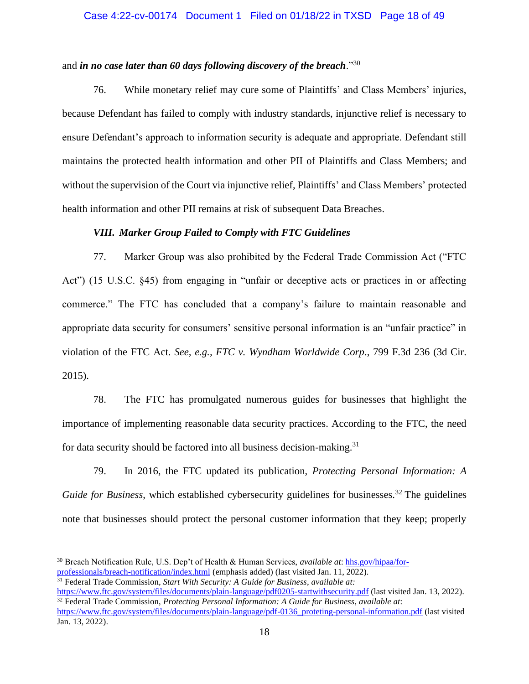#### Case 4:22-cv-00174 Document 1 Filed on 01/18/22 in TXSD Page 18 of 49

# and *in no case later than 60 days following discovery of the breach*."<sup>30</sup>

76. While monetary relief may cure some of Plaintiffs' and Class Members' injuries, because Defendant has failed to comply with industry standards, injunctive relief is necessary to ensure Defendant's approach to information security is adequate and appropriate. Defendant still maintains the protected health information and other PII of Plaintiffs and Class Members; and without the supervision of the Court via injunctive relief, Plaintiffs' and Class Members' protected health information and other PII remains at risk of subsequent Data Breaches.

# *VIII. Marker Group Failed to Comply with FTC Guidelines*

77. Marker Group was also prohibited by the Federal Trade Commission Act ("FTC Act") (15 U.S.C. §45) from engaging in "unfair or deceptive acts or practices in or affecting commerce." The FTC has concluded that a company's failure to maintain reasonable and appropriate data security for consumers' sensitive personal information is an "unfair practice" in violation of the FTC Act. *See, e.g., FTC v. Wyndham Worldwide Corp*., 799 F.3d 236 (3d Cir. 2015).

78. The FTC has promulgated numerous guides for businesses that highlight the importance of implementing reasonable data security practices. According to the FTC, the need for data security should be factored into all business decision-making.<sup>31</sup>

79. In 2016, the FTC updated its publication, *Protecting Personal Information: A Guide for Business*, which established cybersecurity guidelines for businesses.<sup>32</sup> The guidelines note that businesses should protect the personal customer information that they keep; properly

<sup>30</sup> Breach Notification Rule, U.S. Dep't of Health & Human Services, *available at*: [hhs.gov/hipaa/for](http://www.hhs.gov/hipaa/for-professionals/breach-notification/index.html)[professionals/breach-notification/index.html](http://www.hhs.gov/hipaa/for-professionals/breach-notification/index.html) (emphasis added) (last visited Jan. 11, 2022). <sup>31</sup> Federal Trade Commission, *Start With Security: A Guide for Business*, *available at:*

<https://www.ftc.gov/system/files/documents/plain-language/pdf0205-startwithsecurity.pdf> (last visited Jan. 13, 2022). <sup>32</sup> Federal Trade Commission, *Protecting Personal Information: A Guide for Business*, *available at*:

[https://www.ftc.gov/system/files/documents/plain-language/pdf-0136\\_proteting-personal-information.pdf](https://www.ftc.gov/system/files/documents/plain-language/pdf-0136_proteting-personal-information.pdf) (last visited Jan. 13, 2022).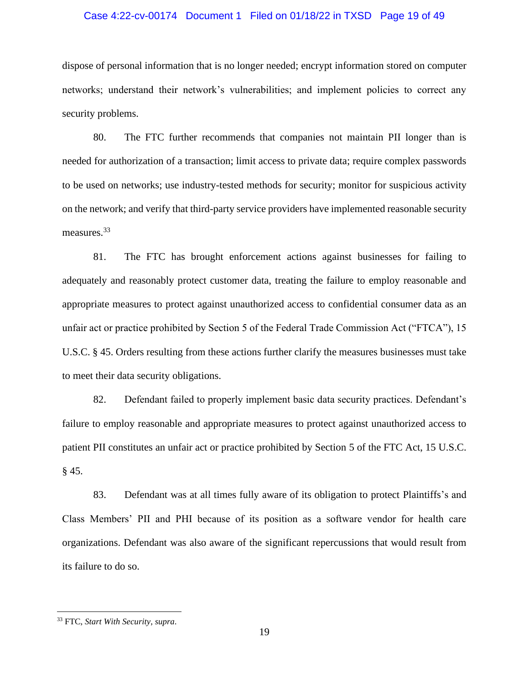#### Case 4:22-cv-00174 Document 1 Filed on 01/18/22 in TXSD Page 19 of 49

dispose of personal information that is no longer needed; encrypt information stored on computer networks; understand their network's vulnerabilities; and implement policies to correct any security problems.

80. The FTC further recommends that companies not maintain PII longer than is needed for authorization of a transaction; limit access to private data; require complex passwords to be used on networks; use industry-tested methods for security; monitor for suspicious activity on the network; and verify that third-party service providers have implemented reasonable security measures.<sup>33</sup>

81. The FTC has brought enforcement actions against businesses for failing to adequately and reasonably protect customer data, treating the failure to employ reasonable and appropriate measures to protect against unauthorized access to confidential consumer data as an unfair act or practice prohibited by Section 5 of the Federal Trade Commission Act ("FTCA"), 15 U.S.C. § 45. Orders resulting from these actions further clarify the measures businesses must take to meet their data security obligations.

82. Defendant failed to properly implement basic data security practices. Defendant's failure to employ reasonable and appropriate measures to protect against unauthorized access to patient PII constitutes an unfair act or practice prohibited by Section 5 of the FTC Act, 15 U.S.C. § 45.

83. Defendant was at all times fully aware of its obligation to protect Plaintiffs's and Class Members' PII and PHI because of its position as a software vendor for health care organizations. Defendant was also aware of the significant repercussions that would result from its failure to do so.

<sup>33</sup> FTC, *Start With Security*, *supra*.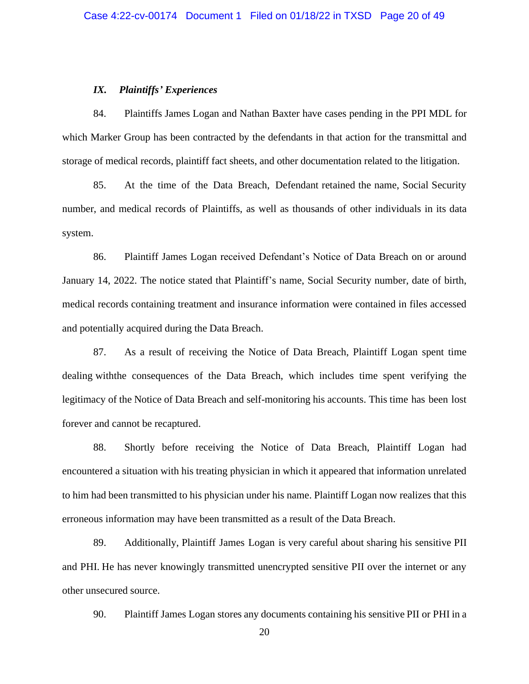#### *IX. Plaintiffs' Experiences*

84. Plaintiffs James Logan and Nathan Baxter have cases pending in the PPI MDL for which Marker Group has been contracted by the defendants in that action for the transmittal and storage of medical records, plaintiff fact sheets, and other documentation related to the litigation.

85. At the time of the Data Breach, Defendant retained the name, Social Security number, and medical records of Plaintiffs, as well as thousands of other individuals in its data system.

86. Plaintiff James Logan received Defendant's Notice of Data Breach on or around January 14, 2022. The notice stated that Plaintiff's name, Social Security number, date of birth, medical records containing treatment and insurance information were contained in files accessed and potentially acquired during the Data Breach.

87. As a result of receiving the Notice of Data Breach, Plaintiff Logan spent time dealing withthe consequences of the Data Breach, which includes time spent verifying the legitimacy of the Notice of Data Breach and self-monitoring his accounts. This time has been lost forever and cannot be recaptured.

88. Shortly before receiving the Notice of Data Breach, Plaintiff Logan had encountered a situation with his treating physician in which it appeared that information unrelated to him had been transmitted to his physician under his name. Plaintiff Logan now realizes that this erroneous information may have been transmitted as a result of the Data Breach.

89. Additionally, Plaintiff James Logan is very careful about sharing his sensitive PII and PHI. He has never knowingly transmitted unencrypted sensitive PII over the internet or any other unsecured source.

90. Plaintiff James Logan stores any documents containing his sensitive PII or PHI in a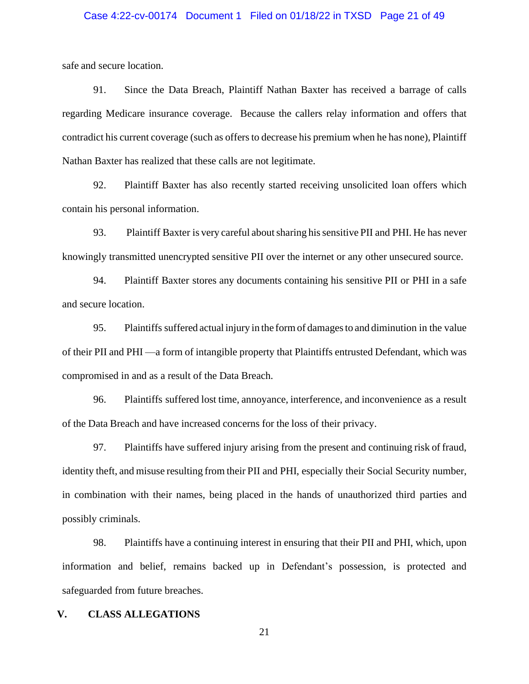#### Case 4:22-cv-00174 Document 1 Filed on 01/18/22 in TXSD Page 21 of 49

safe and secure location.

91. Since the Data Breach, Plaintiff Nathan Baxter has received a barrage of calls regarding Medicare insurance coverage. Because the callers relay information and offers that contradict his current coverage (such as offers to decrease his premium when he has none), Plaintiff Nathan Baxter has realized that these calls are not legitimate.

92. Plaintiff Baxter has also recently started receiving unsolicited loan offers which contain his personal information.

93. Plaintiff Baxter is very careful aboutsharing hissensitive PII and PHI. He has never knowingly transmitted unencrypted sensitive PII over the internet or any other unsecured source.

94. Plaintiff Baxter stores any documents containing his sensitive PII or PHI in a safe and secure location.

95. Plaintiffs suffered actual injury in the formof damagesto and diminution in the value of their PII and PHI —a form of intangible property that Plaintiffs entrusted Defendant, which was compromised in and as a result of the Data Breach.

96. Plaintiffs suffered lost time, annoyance, interference, and inconvenience as a result of the Data Breach and have increased concerns for the loss of their privacy.

97. Plaintiffs have suffered injury arising from the present and continuing risk of fraud, identity theft, and misuse resulting from their PII and PHI, especially their Social Security number, in combination with their names, being placed in the hands of unauthorized third parties and possibly criminals.

98. Plaintiffs have a continuing interest in ensuring that their PII and PHI, which, upon information and belief, remains backed up in Defendant's possession, is protected and safeguarded from future breaches.

#### **V. CLASS ALLEGATIONS**

21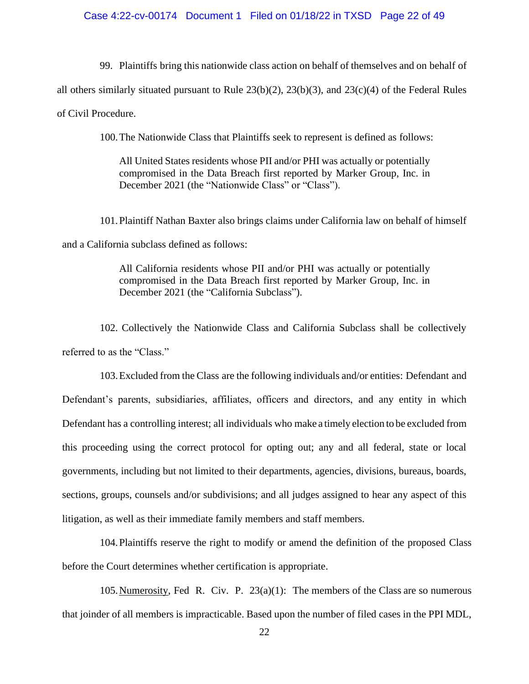#### Case 4:22-cv-00174 Document 1 Filed on 01/18/22 in TXSD Page 22 of 49

99. Plaintiffs bring this nationwide class action on behalf of themselves and on behalf of

all others similarly situated pursuant to Rule 23(b)(2), 23(b)(3), and 23(c)(4) of the Federal Rules

of Civil Procedure.

100.The Nationwide Class that Plaintiffs seek to represent is defined as follows:

All United States residents whose PII and/or PHI was actually or potentially compromised in the Data Breach first reported by Marker Group, Inc. in December 2021 (the "Nationwide Class" or "Class").

101.Plaintiff Nathan Baxter also brings claims under California law on behalf of himself and a California subclass defined as follows:

> All California residents whose PII and/or PHI was actually or potentially compromised in the Data Breach first reported by Marker Group, Inc. in December 2021 (the "California Subclass").

102. Collectively the Nationwide Class and California Subclass shall be collectively referred to as the "Class."

103.Excluded from the Class are the following individuals and/or entities: Defendant and Defendant's parents, subsidiaries, affiliates, officers and directors, and any entity in which Defendant has a controlling interest; all individuals who make a timely election to be excluded from this proceeding using the correct protocol for opting out; any and all federal, state or local governments, including but not limited to their departments, agencies, divisions, bureaus, boards, sections, groups, counsels and/or subdivisions; and all judges assigned to hear any aspect of this litigation, as well as their immediate family members and staff members.

104.Plaintiffs reserve the right to modify or amend the definition of the proposed Class before the Court determines whether certification is appropriate.

105. Numerosity, Fed R. Civ. P.  $23(a)(1)$ : The members of the Class are so numerous that joinder of all members is impracticable. Based upon the number of filed cases in the PPI MDL,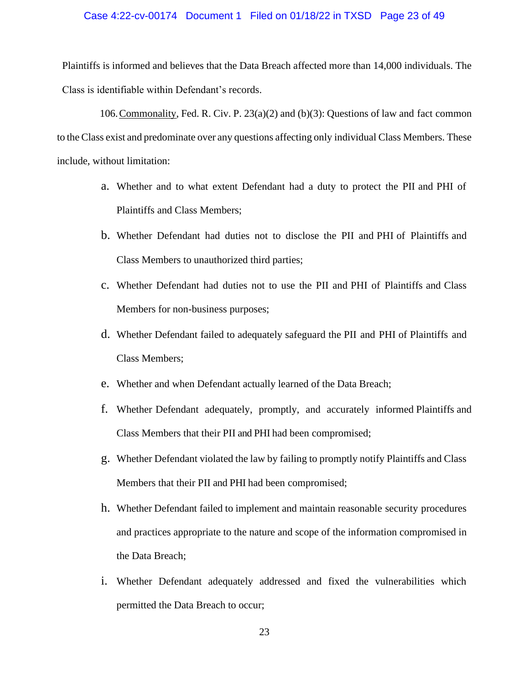#### Case 4:22-cv-00174 Document 1 Filed on 01/18/22 in TXSD Page 23 of 49

Plaintiffs is informed and believes that the Data Breach affected more than 14,000 individuals. The Class is identifiable within Defendant's records.

106.Commonality, Fed. R. Civ. P. 23(a)(2) and (b)(3): Questions of law and fact common to the Class exist and predominate over any questions affecting only individual Class Members. These include, without limitation:

- a. Whether and to what extent Defendant had a duty to protect the PII and PHI of Plaintiffs and Class Members;
- b. Whether Defendant had duties not to disclose the PII and PHI of Plaintiffs and Class Members to unauthorized third parties;
- c. Whether Defendant had duties not to use the PII and PHI of Plaintiffs and Class Members for non-business purposes;
- d. Whether Defendant failed to adequately safeguard the PII and PHI of Plaintiffs and Class Members;
- e. Whether and when Defendant actually learned of the Data Breach;
- f. Whether Defendant adequately, promptly, and accurately informed Plaintiffs and Class Members that their PII and PHI had been compromised;
- g. Whether Defendant violated the law by failing to promptly notify Plaintiffs and Class Members that their PII and PHI had been compromised;
- h. Whether Defendant failed to implement and maintain reasonable security procedures and practices appropriate to the nature and scope of the information compromised in the Data Breach;
- i. Whether Defendant adequately addressed and fixed the vulnerabilities which permitted the Data Breach to occur;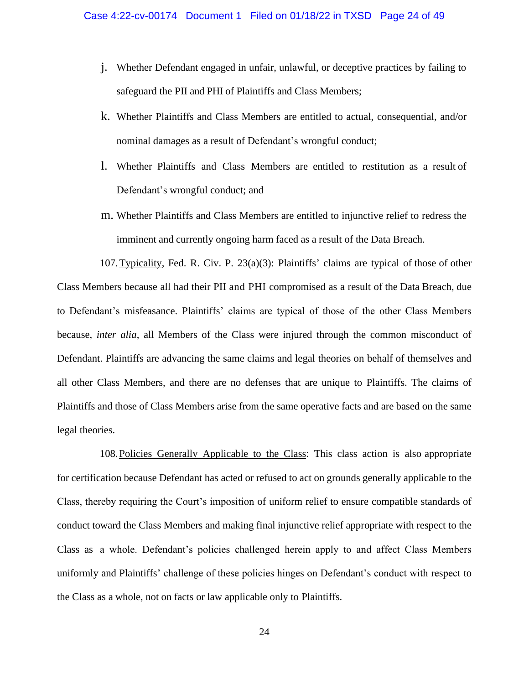- j. Whether Defendant engaged in unfair, unlawful, or deceptive practices by failing to safeguard the PII and PHI of Plaintiffs and Class Members;
- k. Whether Plaintiffs and Class Members are entitled to actual, consequential, and/or nominal damages as a result of Defendant's wrongful conduct;
- l. Whether Plaintiffs and Class Members are entitled to restitution as a result of Defendant's wrongful conduct; and
- m. Whether Plaintiffs and Class Members are entitled to injunctive relief to redress the imminent and currently ongoing harm faced as a result of the Data Breach.

107.Typicality, Fed. R. Civ. P. 23(a)(3): Plaintiffs' claims are typical of those of other Class Members because all had their PII and PHI compromised as a result of the Data Breach, due to Defendant's misfeasance. Plaintiffs' claims are typical of those of the other Class Members because, *inter alia*, all Members of the Class were injured through the common misconduct of Defendant. Plaintiffs are advancing the same claims and legal theories on behalf of themselves and all other Class Members, and there are no defenses that are unique to Plaintiffs. The claims of Plaintiffs and those of Class Members arise from the same operative facts and are based on the same legal theories.

108.Policies Generally Applicable to the Class: This class action is also appropriate for certification because Defendant has acted or refused to act on grounds generally applicable to the Class, thereby requiring the Court's imposition of uniform relief to ensure compatible standards of conduct toward the Class Members and making final injunctive relief appropriate with respect to the Class as a whole. Defendant's policies challenged herein apply to and affect Class Members uniformly and Plaintiffs' challenge of these policies hinges on Defendant's conduct with respect to the Class as a whole, not on facts or law applicable only to Plaintiffs.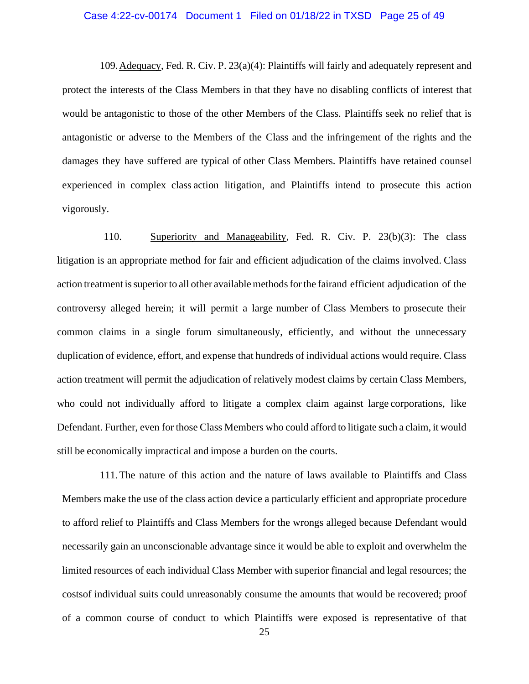#### Case 4:22-cv-00174 Document 1 Filed on 01/18/22 in TXSD Page 25 of 49

109.Adequacy, Fed. R. Civ. P. 23(a)(4): Plaintiffs will fairly and adequately represent and protect the interests of the Class Members in that they have no disabling conflicts of interest that would be antagonistic to those of the other Members of the Class. Plaintiffs seek no relief that is antagonistic or adverse to the Members of the Class and the infringement of the rights and the damages they have suffered are typical of other Class Members. Plaintiffs have retained counsel experienced in complex class action litigation, and Plaintiffs intend to prosecute this action vigorously.

110. Superiority and Manageability, Fed. R. Civ. P. 23(b)(3): The class litigation is an appropriate method for fair and efficient adjudication of the claims involved. Class action treatment is superior to all other available methods for the fairand efficient adjudication of the controversy alleged herein; it will permit a large number of Class Members to prosecute their common claims in a single forum simultaneously, efficiently, and without the unnecessary duplication of evidence, effort, and expense that hundreds of individual actions would require. Class action treatment will permit the adjudication of relatively modest claims by certain Class Members, who could not individually afford to litigate a complex claim against large corporations, like Defendant. Further, even for those Class Members who could afford to litigate such a claim, it would still be economically impractical and impose a burden on the courts.

111.The nature of this action and the nature of laws available to Plaintiffs and Class Members make the use of the class action device a particularly efficient and appropriate procedure to afford relief to Plaintiffs and Class Members for the wrongs alleged because Defendant would necessarily gain an unconscionable advantage since it would be able to exploit and overwhelm the limited resources of each individual Class Member with superior financial and legal resources; the costsof individual suits could unreasonably consume the amounts that would be recovered; proof of a common course of conduct to which Plaintiffs were exposed is representative of that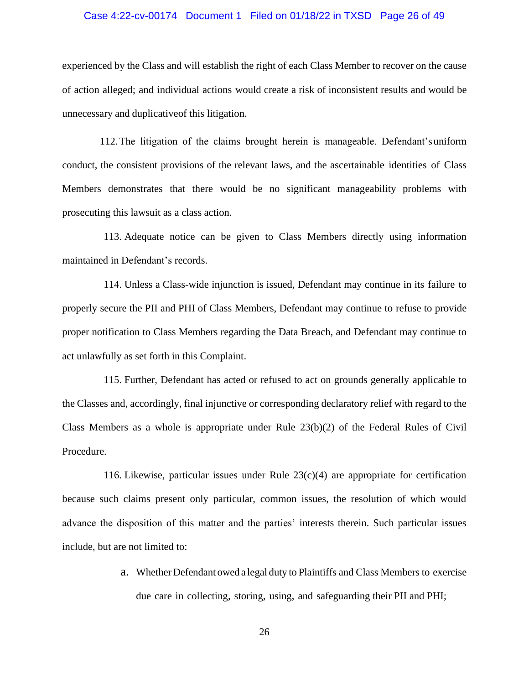#### Case 4:22-cv-00174 Document 1 Filed on 01/18/22 in TXSD Page 26 of 49

experienced by the Class and will establish the right of each Class Member to recover on the cause of action alleged; and individual actions would create a risk of inconsistent results and would be unnecessary and duplicativeof this litigation.

112.The litigation of the claims brought herein is manageable. Defendant'suniform conduct, the consistent provisions of the relevant laws, and the ascertainable identities of Class Members demonstrates that there would be no significant manageability problems with prosecuting this lawsuit as a class action.

113. Adequate notice can be given to Class Members directly using information maintained in Defendant's records.

114. Unless a Class-wide injunction is issued, Defendant may continue in its failure to properly secure the PII and PHI of Class Members, Defendant may continue to refuse to provide proper notification to Class Members regarding the Data Breach, and Defendant may continue to act unlawfully as set forth in this Complaint.

115. Further, Defendant has acted or refused to act on grounds generally applicable to the Classes and, accordingly, final injunctive or corresponding declaratory relief with regard to the Class Members as a whole is appropriate under Rule 23(b)(2) of the Federal Rules of Civil Procedure.

116. Likewise, particular issues under Rule  $23(c)(4)$  are appropriate for certification because such claims present only particular, common issues, the resolution of which would advance the disposition of this matter and the parties' interests therein. Such particular issues include, but are not limited to:

> a. Whether Defendant owed a legal duty to Plaintiffs and Class Members to exercise due care in collecting, storing, using, and safeguarding their PII and PHI;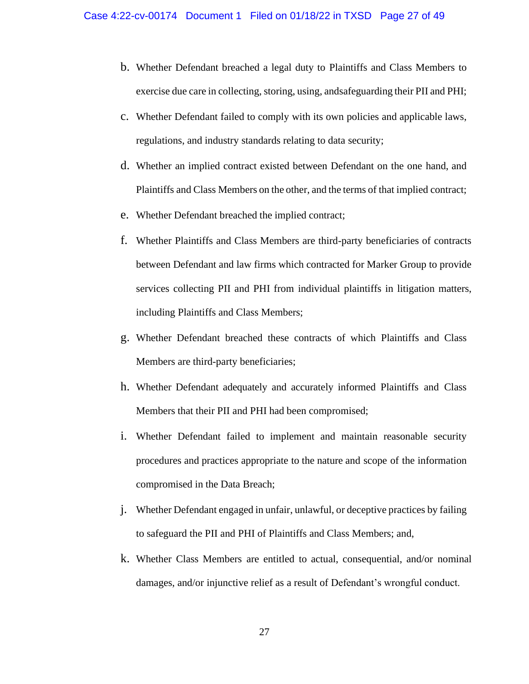- b. Whether Defendant breached a legal duty to Plaintiffs and Class Members to exercise due care in collecting, storing, using, andsafeguarding their PII and PHI;
- c. Whether Defendant failed to comply with its own policies and applicable laws, regulations, and industry standards relating to data security;
- d. Whether an implied contract existed between Defendant on the one hand, and Plaintiffs and Class Members on the other, and the terms of that implied contract;
- e. Whether Defendant breached the implied contract;
- f. Whether Plaintiffs and Class Members are third-party beneficiaries of contracts between Defendant and law firms which contracted for Marker Group to provide services collecting PII and PHI from individual plaintiffs in litigation matters, including Plaintiffs and Class Members;
- g. Whether Defendant breached these contracts of which Plaintiffs and Class Members are third-party beneficiaries;
- h. Whether Defendant adequately and accurately informed Plaintiffs and Class Members that their PII and PHI had been compromised;
- i. Whether Defendant failed to implement and maintain reasonable security procedures and practices appropriate to the nature and scope of the information compromised in the Data Breach;
- j. Whether Defendant engaged in unfair, unlawful, or deceptive practices by failing to safeguard the PII and PHI of Plaintiffs and Class Members; and,
- k. Whether Class Members are entitled to actual, consequential, and/or nominal damages, and/or injunctive relief as a result of Defendant's wrongful conduct.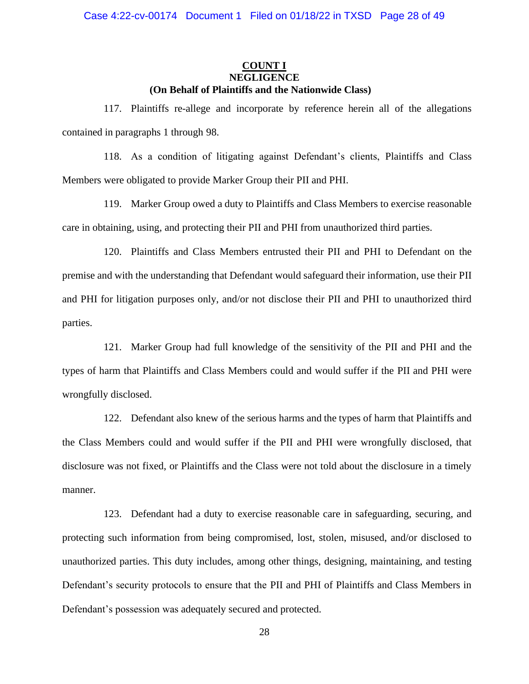# **COUNT I NEGLIGENCE (On Behalf of Plaintiffs and the Nationwide Class)**

117. Plaintiffs re-allege and incorporate by reference herein all of the allegations contained in paragraphs 1 through 98.

118. As a condition of litigating against Defendant's clients, Plaintiffs and Class Members were obligated to provide Marker Group their PII and PHI.

119. Marker Group owed a duty to Plaintiffs and Class Members to exercise reasonable care in obtaining, using, and protecting their PII and PHI from unauthorized third parties.

120. Plaintiffs and Class Members entrusted their PII and PHI to Defendant on the premise and with the understanding that Defendant would safeguard their information, use their PII and PHI for litigation purposes only, and/or not disclose their PII and PHI to unauthorized third parties.

121. Marker Group had full knowledge of the sensitivity of the PII and PHI and the types of harm that Plaintiffs and Class Members could and would suffer if the PII and PHI were wrongfully disclosed.

122. Defendant also knew of the serious harms and the types of harm that Plaintiffs and the Class Members could and would suffer if the PII and PHI were wrongfully disclosed, that disclosure was not fixed, or Plaintiffs and the Class were not told about the disclosure in a timely manner.

123. Defendant had a duty to exercise reasonable care in safeguarding, securing, and protecting such information from being compromised, lost, stolen, misused, and/or disclosed to unauthorized parties. This duty includes, among other things, designing, maintaining, and testing Defendant's security protocols to ensure that the PII and PHI of Plaintiffs and Class Members in Defendant's possession was adequately secured and protected.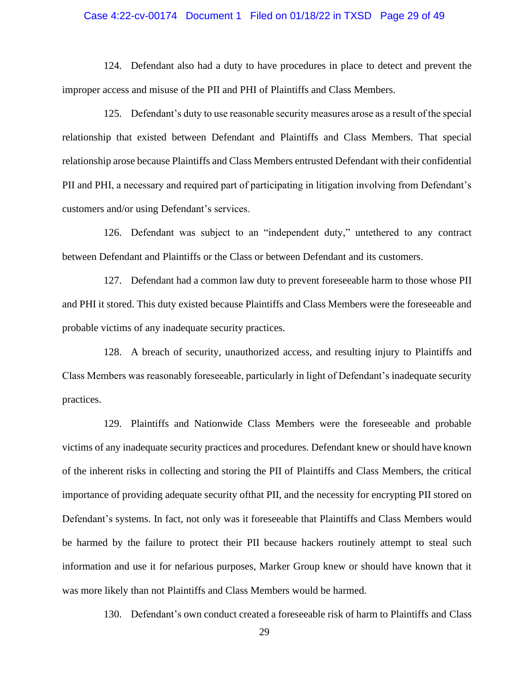#### Case 4:22-cv-00174 Document 1 Filed on 01/18/22 in TXSD Page 29 of 49

124. Defendant also had a duty to have procedures in place to detect and prevent the improper access and misuse of the PII and PHI of Plaintiffs and Class Members.

125. Defendant's duty to use reasonable security measures arose as a result of the special relationship that existed between Defendant and Plaintiffs and Class Members. That special relationship arose because Plaintiffs and Class Members entrusted Defendant with their confidential PII and PHI, a necessary and required part of participating in litigation involving from Defendant's customers and/or using Defendant's services.

126. Defendant was subject to an "independent duty," untethered to any contract between Defendant and Plaintiffs or the Class or between Defendant and its customers.

127. Defendant had a common law duty to prevent foreseeable harm to those whose PII and PHI it stored. This duty existed because Plaintiffs and Class Members were the foreseeable and probable victims of any inadequate security practices.

128. A breach of security, unauthorized access, and resulting injury to Plaintiffs and Class Members was reasonably foreseeable, particularly in light of Defendant's inadequate security practices.

129. Plaintiffs and Nationwide Class Members were the foreseeable and probable victims of any inadequate security practices and procedures. Defendant knew or should have known of the inherent risks in collecting and storing the PII of Plaintiffs and Class Members, the critical importance of providing adequate security ofthat PII, and the necessity for encrypting PII stored on Defendant's systems. In fact, not only was it foreseeable that Plaintiffs and Class Members would be harmed by the failure to protect their PII because hackers routinely attempt to steal such information and use it for nefarious purposes, Marker Group knew or should have known that it was more likely than not Plaintiffs and Class Members would be harmed.

130. Defendant's own conduct created a foreseeable risk of harm to Plaintiffs and Class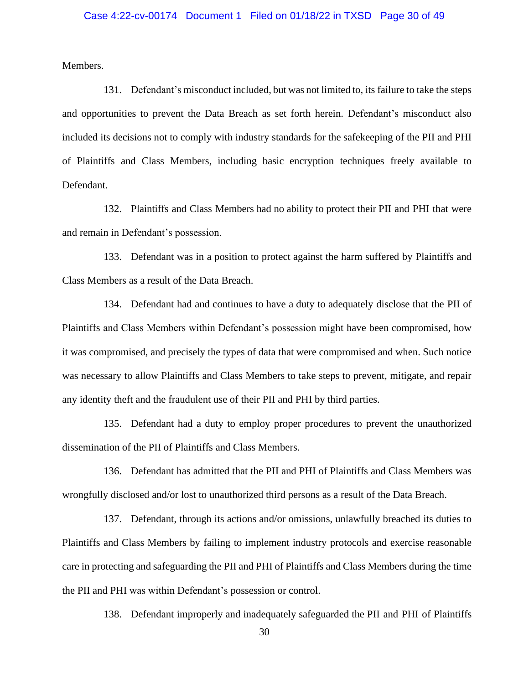Members.

131. Defendant's misconduct included, but was not limited to, its failure to take the steps and opportunities to prevent the Data Breach as set forth herein. Defendant's misconduct also included its decisions not to comply with industry standards for the safekeeping of the PII and PHI of Plaintiffs and Class Members, including basic encryption techniques freely available to Defendant.

132. Plaintiffs and Class Members had no ability to protect their PII and PHI that were and remain in Defendant's possession.

133. Defendant was in a position to protect against the harm suffered by Plaintiffs and Class Members as a result of the Data Breach.

134. Defendant had and continues to have a duty to adequately disclose that the PII of Plaintiffs and Class Members within Defendant's possession might have been compromised, how it was compromised, and precisely the types of data that were compromised and when. Such notice was necessary to allow Plaintiffs and Class Members to take steps to prevent, mitigate, and repair any identity theft and the fraudulent use of their PII and PHI by third parties.

135. Defendant had a duty to employ proper procedures to prevent the unauthorized dissemination of the PII of Plaintiffs and Class Members.

136. Defendant has admitted that the PII and PHI of Plaintiffs and Class Members was wrongfully disclosed and/or lost to unauthorized third persons as a result of the Data Breach.

137. Defendant, through its actions and/or omissions, unlawfully breached its duties to Plaintiffs and Class Members by failing to implement industry protocols and exercise reasonable care in protecting and safeguarding the PII and PHI of Plaintiffs and Class Members during the time the PII and PHI was within Defendant's possession or control.

138. Defendant improperly and inadequately safeguarded the PII and PHI of Plaintiffs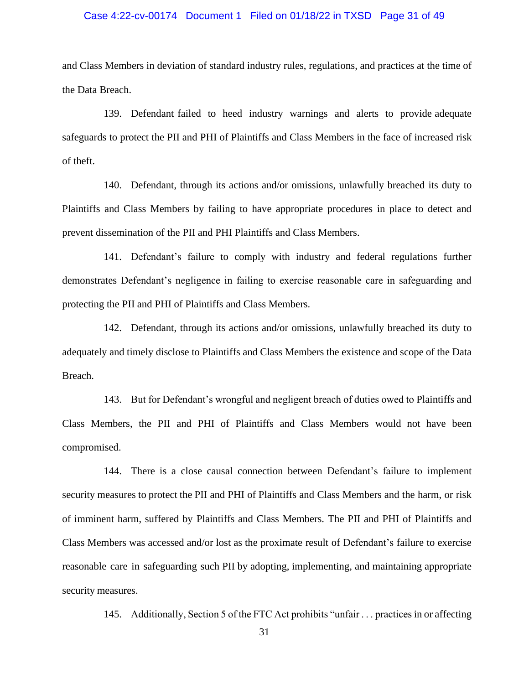#### Case 4:22-cv-00174 Document 1 Filed on 01/18/22 in TXSD Page 31 of 49

and Class Members in deviation of standard industry rules, regulations, and practices at the time of the Data Breach.

139. Defendant failed to heed industry warnings and alerts to provide adequate safeguards to protect the PII and PHI of Plaintiffs and Class Members in the face of increased risk of theft.

140. Defendant, through its actions and/or omissions, unlawfully breached its duty to Plaintiffs and Class Members by failing to have appropriate procedures in place to detect and prevent dissemination of the PII and PHI Plaintiffs and Class Members.

141. Defendant's failure to comply with industry and federal regulations further demonstrates Defendant's negligence in failing to exercise reasonable care in safeguarding and protecting the PII and PHI of Plaintiffs and Class Members.

142. Defendant, through its actions and/or omissions, unlawfully breached its duty to adequately and timely disclose to Plaintiffs and Class Members the existence and scope of the Data Breach.

143. But for Defendant's wrongful and negligent breach of duties owed to Plaintiffs and Class Members, the PII and PHI of Plaintiffs and Class Members would not have been compromised.

144. There is a close causal connection between Defendant's failure to implement security measures to protect the PII and PHI of Plaintiffs and Class Members and the harm, or risk of imminent harm, suffered by Plaintiffs and Class Members. The PII and PHI of Plaintiffs and Class Members was accessed and/or lost as the proximate result of Defendant's failure to exercise reasonable care in safeguarding such PII by adopting, implementing, and maintaining appropriate security measures.

145. Additionally, Section 5 of the FTC Act prohibits "unfair . . . practices in or affecting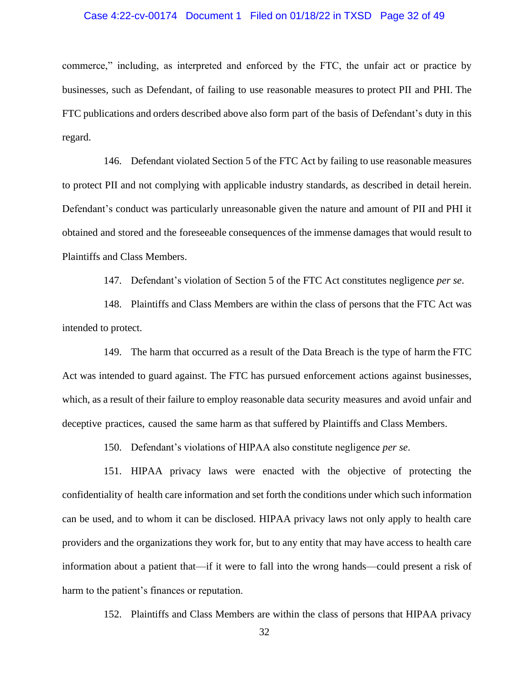#### Case 4:22-cv-00174 Document 1 Filed on 01/18/22 in TXSD Page 32 of 49

commerce," including, as interpreted and enforced by the FTC, the unfair act or practice by businesses, such as Defendant, of failing to use reasonable measures to protect PII and PHI. The FTC publications and orders described above also form part of the basis of Defendant's duty in this regard.

146. Defendant violated Section 5 of the FTC Act by failing to use reasonable measures to protect PII and not complying with applicable industry standards, as described in detail herein. Defendant's conduct was particularly unreasonable given the nature and amount of PII and PHI it obtained and stored and the foreseeable consequences of the immense damages that would result to Plaintiffs and Class Members.

147. Defendant's violation of Section 5 of the FTC Act constitutes negligence *per se*.

148. Plaintiffs and Class Members are within the class of persons that the FTC Act was intended to protect.

149. The harm that occurred as a result of the Data Breach is the type of harm the FTC Act was intended to guard against. The FTC has pursued enforcement actions against businesses, which, as a result of their failure to employ reasonable data security measures and avoid unfair and deceptive practices, caused the same harm as that suffered by Plaintiffs and Class Members.

150. Defendant's violations of HIPAA also constitute negligence *per se*.

151. HIPAA privacy laws were enacted with the objective of protecting the confidentiality of health care information and set forth the conditions under which such information can be used, and to whom it can be disclosed. HIPAA privacy laws not only apply to health care providers and the organizations they work for, but to any entity that may have access to health care information about a patient that—if it were to fall into the wrong hands—could present a risk of harm to the patient's finances or reputation.

152. Plaintiffs and Class Members are within the class of persons that HIPAA privacy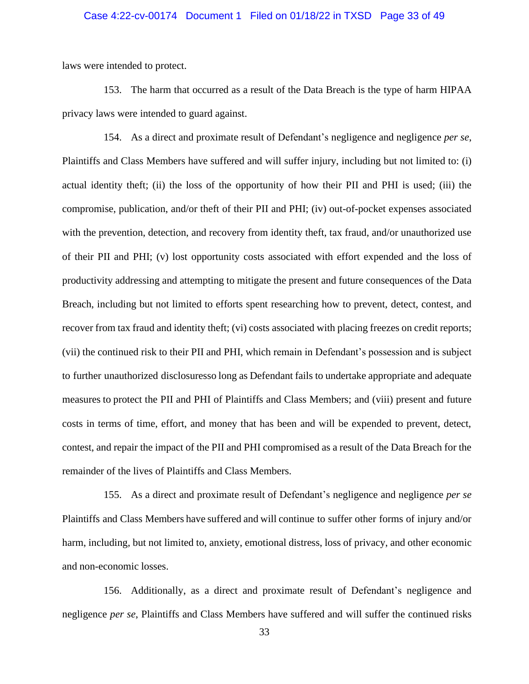#### Case 4:22-cv-00174 Document 1 Filed on 01/18/22 in TXSD Page 33 of 49

laws were intended to protect.

153. The harm that occurred as a result of the Data Breach is the type of harm HIPAA privacy laws were intended to guard against.

154. As a direct and proximate result of Defendant's negligence and negligence *per se*, Plaintiffs and Class Members have suffered and will suffer injury, including but not limited to: (i) actual identity theft; (ii) the loss of the opportunity of how their PII and PHI is used; (iii) the compromise, publication, and/or theft of their PII and PHI; (iv) out-of-pocket expenses associated with the prevention, detection, and recovery from identity theft, tax fraud, and/or unauthorized use of their PII and PHI; (v) lost opportunity costs associated with effort expended and the loss of productivity addressing and attempting to mitigate the present and future consequences of the Data Breach, including but not limited to efforts spent researching how to prevent, detect, contest, and recover from tax fraud and identity theft; (vi) costs associated with placing freezes on credit reports; (vii) the continued risk to their PII and PHI, which remain in Defendant's possession and is subject to further unauthorized disclosuresso long as Defendant fails to undertake appropriate and adequate measures to protect the PII and PHI of Plaintiffs and Class Members; and (viii) present and future costs in terms of time, effort, and money that has been and will be expended to prevent, detect, contest, and repair the impact of the PII and PHI compromised as a result of the Data Breach for the remainder of the lives of Plaintiffs and Class Members.

155. As a direct and proximate result of Defendant's negligence and negligence *per se* Plaintiffs and Class Members have suffered and will continue to suffer other forms of injury and/or harm, including, but not limited to, anxiety, emotional distress, loss of privacy, and other economic and non-economic losses.

156. Additionally, as a direct and proximate result of Defendant's negligence and negligence *per se*, Plaintiffs and Class Members have suffered and will suffer the continued risks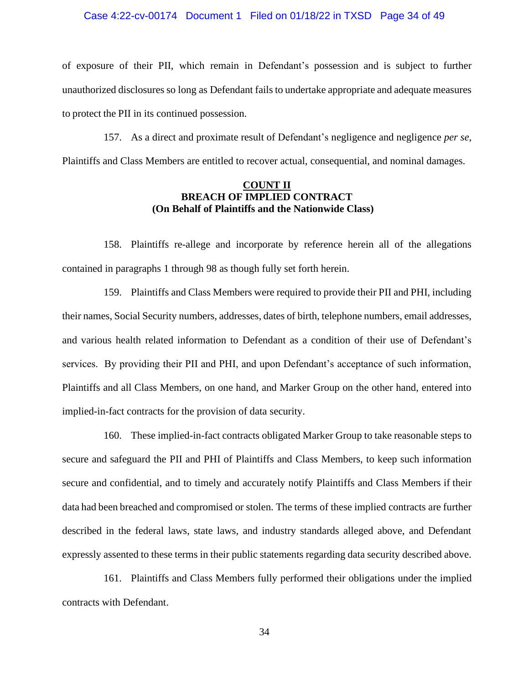#### Case 4:22-cv-00174 Document 1 Filed on 01/18/22 in TXSD Page 34 of 49

of exposure of their PII, which remain in Defendant's possession and is subject to further unauthorized disclosures so long as Defendant failsto undertake appropriate and adequate measures to protect the PII in its continued possession.

157. As a direct and proximate result of Defendant's negligence and negligence *per se*, Plaintiffs and Class Members are entitled to recover actual, consequential, and nominal damages.

# **COUNT II BREACH OF IMPLIED CONTRACT (On Behalf of Plaintiffs and the Nationwide Class)**

158. Plaintiffs re-allege and incorporate by reference herein all of the allegations contained in paragraphs 1 through 98 as though fully set forth herein.

159. Plaintiffs and Class Members were required to provide their PII and PHI, including their names, Social Security numbers, addresses, dates of birth, telephone numbers, email addresses, and various health related information to Defendant as a condition of their use of Defendant's services. By providing their PII and PHI, and upon Defendant's acceptance of such information, Plaintiffs and all Class Members, on one hand, and Marker Group on the other hand, entered into implied-in-fact contracts for the provision of data security.

160. These implied-in-fact contracts obligated Marker Group to take reasonable steps to secure and safeguard the PII and PHI of Plaintiffs and Class Members, to keep such information secure and confidential, and to timely and accurately notify Plaintiffs and Class Members if their data had been breached and compromised or stolen. The terms of these implied contracts are further described in the federal laws, state laws, and industry standards alleged above, and Defendant expressly assented to these terms in their public statements regarding data security described above.

161. Plaintiffs and Class Members fully performed their obligations under the implied contracts with Defendant.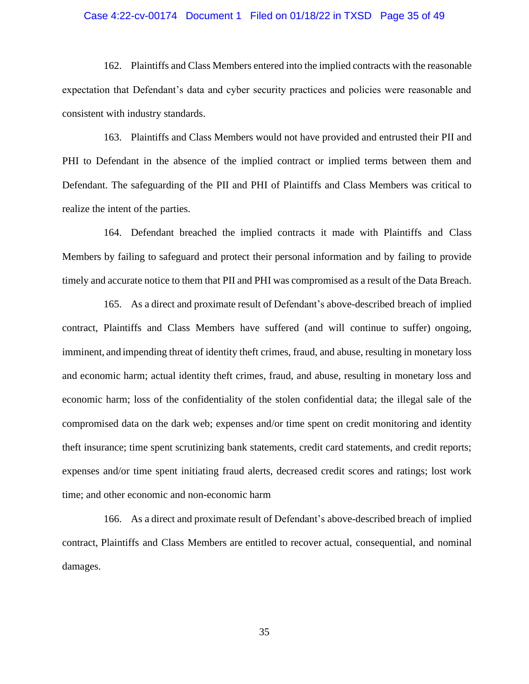#### Case 4:22-cv-00174 Document 1 Filed on 01/18/22 in TXSD Page 35 of 49

162. Plaintiffs and Class Members entered into the implied contracts with the reasonable expectation that Defendant's data and cyber security practices and policies were reasonable and consistent with industry standards.

163. Plaintiffs and Class Members would not have provided and entrusted their PII and PHI to Defendant in the absence of the implied contract or implied terms between them and Defendant. The safeguarding of the PII and PHI of Plaintiffs and Class Members was critical to realize the intent of the parties.

164. Defendant breached the implied contracts it made with Plaintiffs and Class Members by failing to safeguard and protect their personal information and by failing to provide timely and accurate notice to them that PII and PHI was compromised as a result of the Data Breach.

165. As a direct and proximate result of Defendant's above-described breach of implied contract, Plaintiffs and Class Members have suffered (and will continue to suffer) ongoing, imminent, and impending threat of identity theft crimes, fraud, and abuse, resulting in monetary loss and economic harm; actual identity theft crimes, fraud, and abuse, resulting in monetary loss and economic harm; loss of the confidentiality of the stolen confidential data; the illegal sale of the compromised data on the dark web; expenses and/or time spent on credit monitoring and identity theft insurance; time spent scrutinizing bank statements, credit card statements, and credit reports; expenses and/or time spent initiating fraud alerts, decreased credit scores and ratings; lost work time; and other economic and non-economic harm

166. As a direct and proximate result of Defendant's above-described breach of implied contract, Plaintiffs and Class Members are entitled to recover actual, consequential, and nominal damages.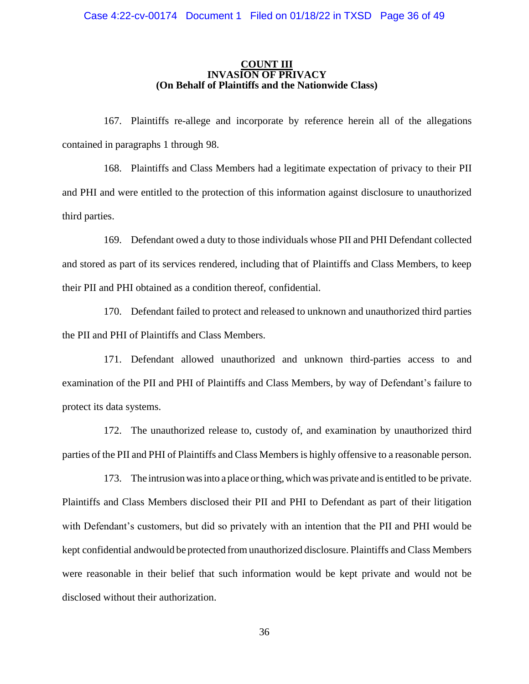#### **COUNT III INVASION OF PRIVACY (On Behalf of Plaintiffs and the Nationwide Class)**

167. Plaintiffs re-allege and incorporate by reference herein all of the allegations contained in paragraphs 1 through 98.

168. Plaintiffs and Class Members had a legitimate expectation of privacy to their PII and PHI and were entitled to the protection of this information against disclosure to unauthorized third parties.

169. Defendant owed a duty to those individuals whose PII and PHI Defendant collected and stored as part of its services rendered, including that of Plaintiffs and Class Members, to keep their PII and PHI obtained as a condition thereof, confidential.

170. Defendant failed to protect and released to unknown and unauthorized third parties the PII and PHI of Plaintiffs and Class Members.

171. Defendant allowed unauthorized and unknown third-parties access to and examination of the PII and PHI of Plaintiffs and Class Members, by way of Defendant's failure to protect its data systems.

172. The unauthorized release to, custody of, and examination by unauthorized third parties of the PII and PHI of Plaintiffs and Class Members is highly offensive to a reasonable person.

173. The intrusionwasinto a place orthing,which was private and is entitled to be private. Plaintiffs and Class Members disclosed their PII and PHI to Defendant as part of their litigation with Defendant's customers, but did so privately with an intention that the PII and PHI would be kept confidential andwould be protected fromunauthorized disclosure. Plaintiffs and Class Members were reasonable in their belief that such information would be kept private and would not be disclosed without their authorization.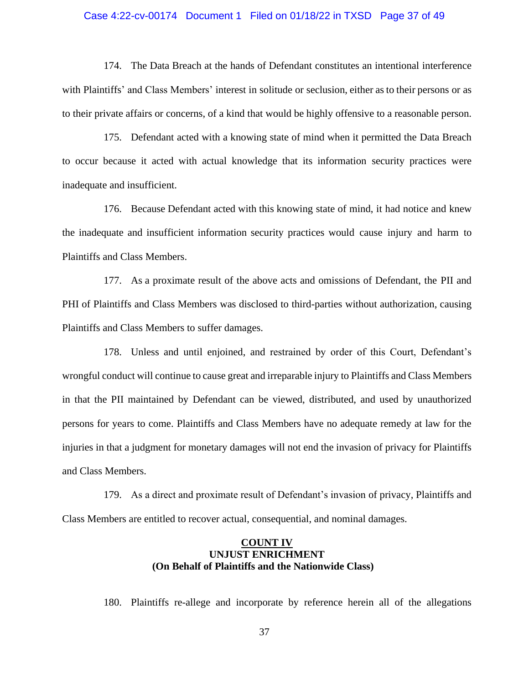#### Case 4:22-cv-00174 Document 1 Filed on 01/18/22 in TXSD Page 37 of 49

174. The Data Breach at the hands of Defendant constitutes an intentional interference with Plaintiffs' and Class Members' interest in solitude or seclusion, either as to their persons or as to their private affairs or concerns, of a kind that would be highly offensive to a reasonable person.

175. Defendant acted with a knowing state of mind when it permitted the Data Breach to occur because it acted with actual knowledge that its information security practices were inadequate and insufficient.

176. Because Defendant acted with this knowing state of mind, it had notice and knew the inadequate and insufficient information security practices would cause injury and harm to Plaintiffs and Class Members.

177. As a proximate result of the above acts and omissions of Defendant, the PII and PHI of Plaintiffs and Class Members was disclosed to third-parties without authorization, causing Plaintiffs and Class Members to suffer damages.

178. Unless and until enjoined, and restrained by order of this Court, Defendant's wrongful conduct will continue to cause great and irreparable injury to Plaintiffs and Class Members in that the PII maintained by Defendant can be viewed, distributed, and used by unauthorized persons for years to come. Plaintiffs and Class Members have no adequate remedy at law for the injuries in that a judgment for monetary damages will not end the invasion of privacy for Plaintiffs and Class Members.

179. As a direct and proximate result of Defendant's invasion of privacy, Plaintiffs and Class Members are entitled to recover actual, consequential, and nominal damages.

# **COUNT IV UNJUST ENRICHMENT (On Behalf of Plaintiffs and the Nationwide Class)**

180. Plaintiffs re-allege and incorporate by reference herein all of the allegations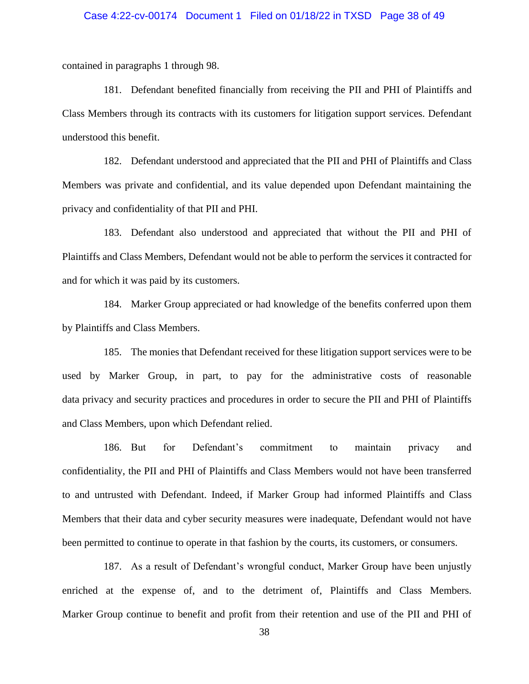#### Case 4:22-cv-00174 Document 1 Filed on 01/18/22 in TXSD Page 38 of 49

contained in paragraphs 1 through 98.

181. Defendant benefited financially from receiving the PII and PHI of Plaintiffs and Class Members through its contracts with its customers for litigation support services. Defendant understood this benefit.

182. Defendant understood and appreciated that the PII and PHI of Plaintiffs and Class Members was private and confidential, and its value depended upon Defendant maintaining the privacy and confidentiality of that PII and PHI.

183. Defendant also understood and appreciated that without the PII and PHI of Plaintiffs and Class Members, Defendant would not be able to perform the services it contracted for and for which it was paid by its customers.

184. Marker Group appreciated or had knowledge of the benefits conferred upon them by Plaintiffs and Class Members.

185. The monies that Defendant received for these litigation support services were to be used by Marker Group, in part, to pay for the administrative costs of reasonable data privacy and security practices and procedures in order to secure the PII and PHI of Plaintiffs and Class Members, upon which Defendant relied.

186. But for Defendant's commitment to maintain privacy and confidentiality, the PII and PHI of Plaintiffs and Class Members would not have been transferred to and untrusted with Defendant. Indeed, if Marker Group had informed Plaintiffs and Class Members that their data and cyber security measures were inadequate, Defendant would not have been permitted to continue to operate in that fashion by the courts, its customers, or consumers.

187. As a result of Defendant's wrongful conduct, Marker Group have been unjustly enriched at the expense of, and to the detriment of, Plaintiffs and Class Members. Marker Group continue to benefit and profit from their retention and use of the PII and PHI of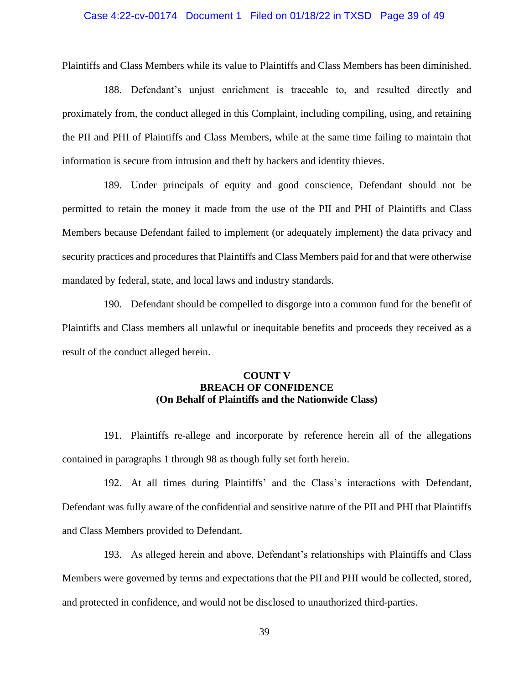#### Case 4:22-cv-00174 Document 1 Filed on 01/18/22 in TXSD Page 39 of 49

Plaintiffs and Class Members while its value to Plaintiffs and Class Members has been diminished.

188. Defendant's unjust enrichment is traceable to, and resulted directly and proximately from, the conduct alleged in this Complaint, including compiling, using, and retaining the PII and PHI of Plaintiffs and Class Members, while at the same time failing to maintain that information is secure from intrusion and theft by hackers and identity thieves.

189. Under principals of equity and good conscience, Defendant should not be permitted to retain the money it made from the use of the PII and PHI of Plaintiffs and Class Members because Defendant failed to implement (or adequately implement) the data privacy and security practices and procedures that Plaintiffs and Class Members paid for and that were otherwise mandated by federal, state, and local laws and industry standards.

190. Defendant should be compelled to disgorge into a common fund for the benefit of Plaintiffs and Class members all unlawful or inequitable benefits and proceeds they received as a result of the conduct alleged herein.

# **COUNT V BREACH OF CONFIDENCE (On Behalf of Plaintiffs and the Nationwide Class)**

191. Plaintiffs re-allege and incorporate by reference herein all of the allegations contained in paragraphs 1 through 98 as though fully set forth herein.

192. At all times during Plaintiffs' and the Class's interactions with Defendant, Defendant was fully aware of the confidential and sensitive nature of the PII and PHI that Plaintiffs and Class Members provided to Defendant.

193. As alleged herein and above, Defendant's relationships with Plaintiffs and Class Members were governed by terms and expectations that the PII and PHI would be collected, stored, and protected in confidence, and would not be disclosed to unauthorized third-parties.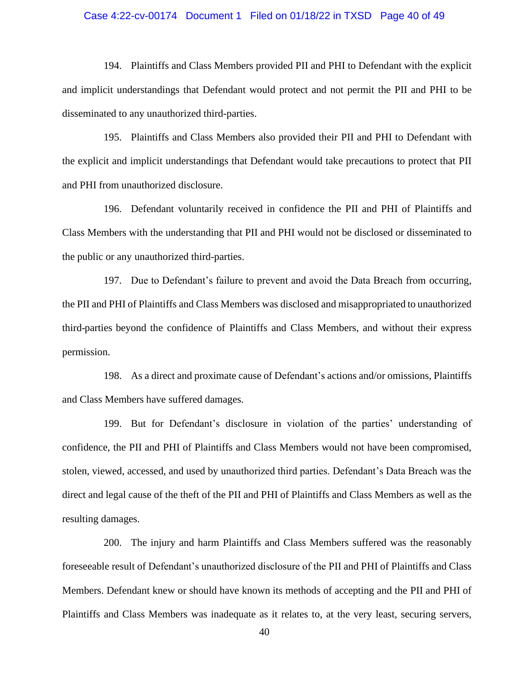#### Case 4:22-cv-00174 Document 1 Filed on 01/18/22 in TXSD Page 40 of 49

194. Plaintiffs and Class Members provided PII and PHI to Defendant with the explicit and implicit understandings that Defendant would protect and not permit the PII and PHI to be disseminated to any unauthorized third-parties.

195. Plaintiffs and Class Members also provided their PII and PHI to Defendant with the explicit and implicit understandings that Defendant would take precautions to protect that PII and PHI from unauthorized disclosure.

196. Defendant voluntarily received in confidence the PII and PHI of Plaintiffs and Class Members with the understanding that PII and PHI would not be disclosed or disseminated to the public or any unauthorized third-parties.

197. Due to Defendant's failure to prevent and avoid the Data Breach from occurring, the PII and PHI of Plaintiffs and Class Members was disclosed and misappropriated to unauthorized third-parties beyond the confidence of Plaintiffs and Class Members, and without their express permission.

198. As a direct and proximate cause of Defendant's actions and/or omissions, Plaintiffs and Class Members have suffered damages.

199. But for Defendant's disclosure in violation of the parties' understanding of confidence, the PII and PHI of Plaintiffs and Class Members would not have been compromised, stolen, viewed, accessed, and used by unauthorized third parties. Defendant's Data Breach was the direct and legal cause of the theft of the PII and PHI of Plaintiffs and Class Members as well as the resulting damages.

200. The injury and harm Plaintiffs and Class Members suffered was the reasonably foreseeable result of Defendant's unauthorized disclosure of the PII and PHI of Plaintiffs and Class Members. Defendant knew or should have known its methods of accepting and the PII and PHI of Plaintiffs and Class Members was inadequate as it relates to, at the very least, securing servers,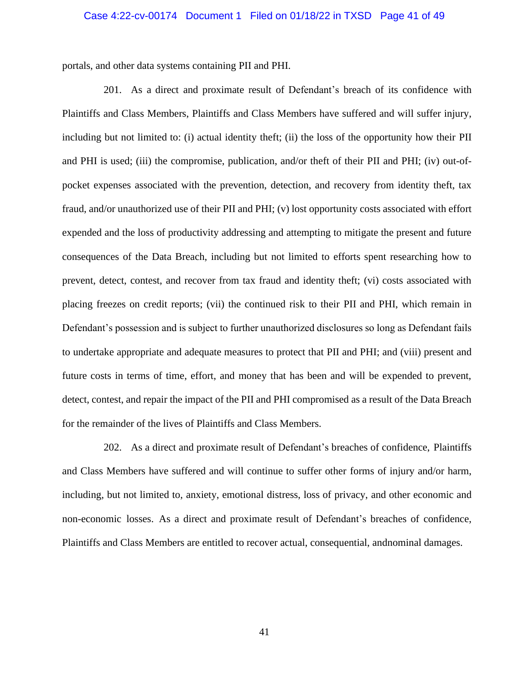#### Case 4:22-cv-00174 Document 1 Filed on 01/18/22 in TXSD Page 41 of 49

portals, and other data systems containing PII and PHI.

201. As a direct and proximate result of Defendant's breach of its confidence with Plaintiffs and Class Members, Plaintiffs and Class Members have suffered and will suffer injury, including but not limited to: (i) actual identity theft; (ii) the loss of the opportunity how their PII and PHI is used; (iii) the compromise, publication, and/or theft of their PII and PHI; (iv) out-ofpocket expenses associated with the prevention, detection, and recovery from identity theft, tax fraud, and/or unauthorized use of their PII and PHI; (v) lost opportunity costs associated with effort expended and the loss of productivity addressing and attempting to mitigate the present and future consequences of the Data Breach, including but not limited to efforts spent researching how to prevent, detect, contest, and recover from tax fraud and identity theft; (vi) costs associated with placing freezes on credit reports; (vii) the continued risk to their PII and PHI, which remain in Defendant's possession and is subject to further unauthorized disclosures so long as Defendant fails to undertake appropriate and adequate measures to protect that PII and PHI; and (viii) present and future costs in terms of time, effort, and money that has been and will be expended to prevent, detect, contest, and repair the impact of the PII and PHI compromised as a result of the Data Breach for the remainder of the lives of Plaintiffs and Class Members.

202. As a direct and proximate result of Defendant's breaches of confidence, Plaintiffs and Class Members have suffered and will continue to suffer other forms of injury and/or harm, including, but not limited to, anxiety, emotional distress, loss of privacy, and other economic and non-economic losses. As a direct and proximate result of Defendant's breaches of confidence, Plaintiffs and Class Members are entitled to recover actual, consequential, andnominal damages.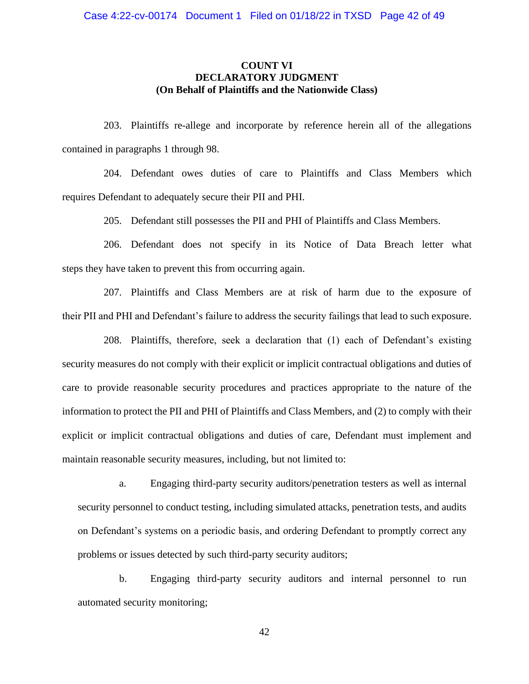# **COUNT VI DECLARATORY JUDGMENT (On Behalf of Plaintiffs and the Nationwide Class)**

203. Plaintiffs re-allege and incorporate by reference herein all of the allegations contained in paragraphs 1 through 98.

204. Defendant owes duties of care to Plaintiffs and Class Members which requires Defendant to adequately secure their PII and PHI.

205. Defendant still possesses the PII and PHI of Plaintiffs and Class Members.

206. Defendant does not specify in its Notice of Data Breach letter what steps they have taken to prevent this from occurring again.

207. Plaintiffs and Class Members are at risk of harm due to the exposure of their PII and PHI and Defendant's failure to address the security failings that lead to such exposure.

208. Plaintiffs, therefore, seek a declaration that (1) each of Defendant's existing security measures do not comply with their explicit or implicit contractual obligations and duties of care to provide reasonable security procedures and practices appropriate to the nature of the information to protect the PII and PHI of Plaintiffs and Class Members, and (2) to comply with their explicit or implicit contractual obligations and duties of care, Defendant must implement and maintain reasonable security measures, including, but not limited to:

a. Engaging third-party security auditors/penetration testers as well as internal security personnel to conduct testing, including simulated attacks, penetration tests, and audits on Defendant's systems on a periodic basis, and ordering Defendant to promptly correct any problems or issues detected by such third-party security auditors;

b. Engaging third-party security auditors and internal personnel to run automated security monitoring;

42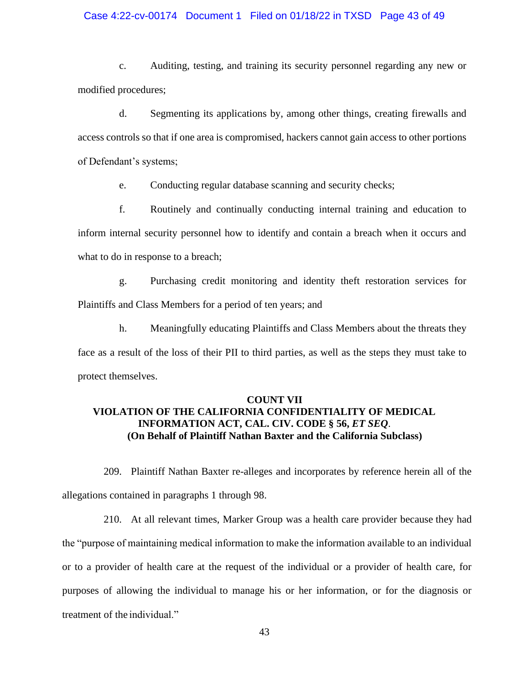#### Case 4:22-cv-00174 Document 1 Filed on 01/18/22 in TXSD Page 43 of 49

c. Auditing, testing, and training its security personnel regarding any new or modified procedures;

d. Segmenting its applications by, among other things, creating firewalls and access controls so that if one area is compromised, hackers cannot gain access to other portions of Defendant's systems;

e. Conducting regular database scanning and security checks;

f. Routinely and continually conducting internal training and education to inform internal security personnel how to identify and contain a breach when it occurs and what to do in response to a breach;

g. Purchasing credit monitoring and identity theft restoration services for Plaintiffs and Class Members for a period of ten years; and

h. Meaningfully educating Plaintiffs and Class Members about the threats they face as a result of the loss of their PII to third parties, as well as the steps they must take to protect themselves.

# **COUNT VII VIOLATION OF THE CALIFORNIA CONFIDENTIALITY OF MEDICAL INFORMATION ACT, CAL. CIV. CODE § 56,** *ET SEQ*. **(On Behalf of Plaintiff Nathan Baxter and the California Subclass)**

209. Plaintiff Nathan Baxter re-alleges and incorporates by reference herein all of the allegations contained in paragraphs 1 through 98.

210. At all relevant times, Marker Group was a health care provider because they had the "purpose of maintaining medical information to make the information available to an individual or to a provider of health care at the request of the individual or a provider of health care, for purposes of allowing the individual to manage his or her information, or for the diagnosis or treatment of the individual."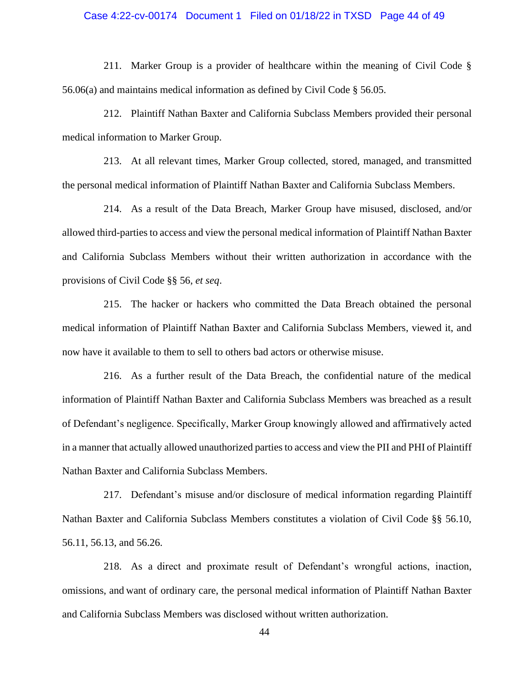#### Case 4:22-cv-00174 Document 1 Filed on 01/18/22 in TXSD Page 44 of 49

211. Marker Group is a provider of healthcare within the meaning of Civil Code § 56.06(a) and maintains medical information as defined by Civil Code § 56.05.

212. Plaintiff Nathan Baxter and California Subclass Members provided their personal medical information to Marker Group.

213. At all relevant times, Marker Group collected, stored, managed, and transmitted the personal medical information of Plaintiff Nathan Baxter and California Subclass Members.

214. As a result of the Data Breach, Marker Group have misused, disclosed, and/or allowed third-parties to access and view the personal medical information of Plaintiff Nathan Baxter and California Subclass Members without their written authorization in accordance with the provisions of Civil Code §§ 56, *et seq*.

215. The hacker or hackers who committed the Data Breach obtained the personal medical information of Plaintiff Nathan Baxter and California Subclass Members, viewed it, and now have it available to them to sell to others bad actors or otherwise misuse.

216. As a further result of the Data Breach, the confidential nature of the medical information of Plaintiff Nathan Baxter and California Subclass Members was breached as a result of Defendant's negligence. Specifically, Marker Group knowingly allowed and affirmatively acted in a manner that actually allowed unauthorized parties to access and view the PII and PHI of Plaintiff Nathan Baxter and California Subclass Members.

217. Defendant's misuse and/or disclosure of medical information regarding Plaintiff Nathan Baxter and California Subclass Members constitutes a violation of Civil Code §§ 56.10, 56.11, 56.13, and 56.26.

218. As a direct and proximate result of Defendant's wrongful actions, inaction, omissions, and want of ordinary care, the personal medical information of Plaintiff Nathan Baxter and California Subclass Members was disclosed without written authorization.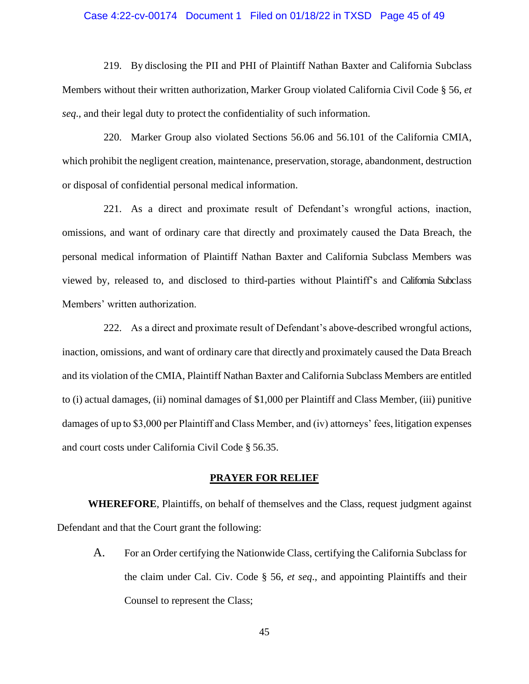#### Case 4:22-cv-00174 Document 1 Filed on 01/18/22 in TXSD Page 45 of 49

219. By disclosing the PII and PHI of Plaintiff Nathan Baxter and California Subclass Members without their written authorization, Marker Group violated California Civil Code § 56, *et seq*., and their legal duty to protect the confidentiality of such information.

220. Marker Group also violated Sections 56.06 and 56.101 of the California CMIA, which prohibit the negligent creation, maintenance, preservation, storage, abandonment, destruction or disposal of confidential personal medical information.

221. As a direct and proximate result of Defendant's wrongful actions, inaction, omissions, and want of ordinary care that directly and proximately caused the Data Breach, the personal medical information of Plaintiff Nathan Baxter and California Subclass Members was viewed by, released to, and disclosed to third-parties without Plaintiff's and California Subclass Members' written authorization.

222. As a direct and proximate result of Defendant's above-described wrongful actions, inaction, omissions, and want of ordinary care that directly and proximately caused the Data Breach and its violation of the CMIA, Plaintiff Nathan Baxter and California Subclass Members are entitled to (i) actual damages, (ii) nominal damages of \$1,000 per Plaintiff and Class Member, (iii) punitive damages of up to \$3,000 per Plaintiff and Class Member, and (iv) attorneys' fees, litigation expenses and court costs under California Civil Code § 56.35.

#### **PRAYER FOR RELIEF**

**WHEREFORE**, Plaintiffs, on behalf of themselves and the Class, request judgment against Defendant and that the Court grant the following:

A. For an Order certifying the Nationwide Class, certifying the California Subclass for the claim under Cal. Civ. Code § 56, *et seq*., and appointing Plaintiffs and their Counsel to represent the Class;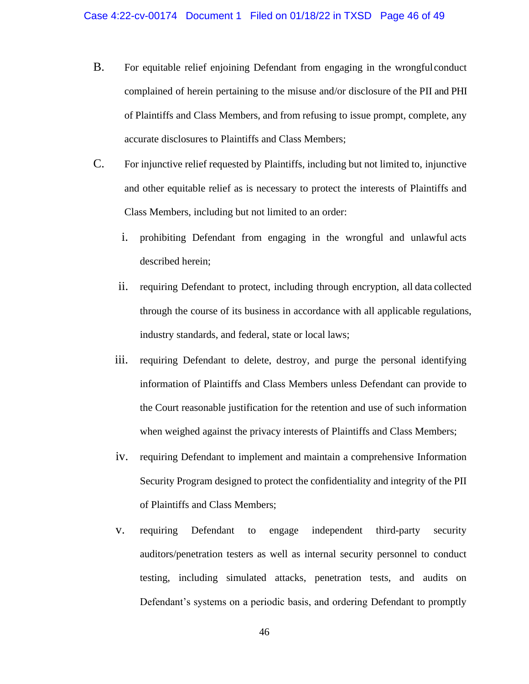- B. For equitable relief enjoining Defendant from engaging in the wrongfulconduct complained of herein pertaining to the misuse and/or disclosure of the PII and PHI of Plaintiffs and Class Members, and from refusing to issue prompt, complete, any accurate disclosures to Plaintiffs and Class Members;
- C. For injunctive relief requested by Plaintiffs, including but not limited to, injunctive and other equitable relief as is necessary to protect the interests of Plaintiffs and Class Members, including but not limited to an order:
	- i. prohibiting Defendant from engaging in the wrongful and unlawful acts described herein;
	- ii. requiring Defendant to protect, including through encryption, all data collected through the course of its business in accordance with all applicable regulations, industry standards, and federal, state or local laws;
	- iii. requiring Defendant to delete, destroy, and purge the personal identifying information of Plaintiffs and Class Members unless Defendant can provide to the Court reasonable justification for the retention and use of such information when weighed against the privacy interests of Plaintiffs and Class Members;
	- iv. requiring Defendant to implement and maintain a comprehensive Information Security Program designed to protect the confidentiality and integrity of the PII of Plaintiffs and Class Members;
	- v. requiring Defendant to engage independent third-party security auditors/penetration testers as well as internal security personnel to conduct testing, including simulated attacks, penetration tests, and audits on Defendant's systems on a periodic basis, and ordering Defendant to promptly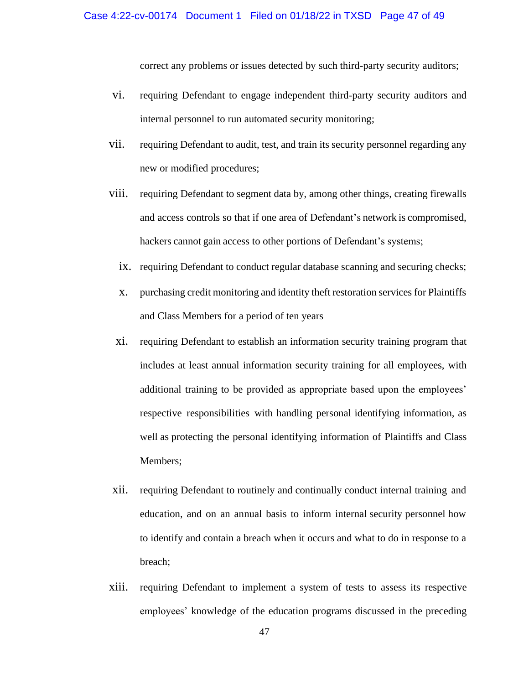correct any problems or issues detected by such third-party security auditors;

- vi. requiring Defendant to engage independent third-party security auditors and internal personnel to run automated security monitoring;
- vii. requiring Defendant to audit, test, and train its security personnel regarding any new or modified procedures;
- viii. requiring Defendant to segment data by, among other things, creating firewalls and access controls so that if one area of Defendant's network is compromised, hackers cannot gain access to other portions of Defendant's systems;
	- ix. requiring Defendant to conduct regular database scanning and securing checks;
	- x. purchasing credit monitoring and identity theft restoration services for Plaintiffs and Class Members for a period of ten years
	- xi. requiring Defendant to establish an information security training program that includes at least annual information security training for all employees, with additional training to be provided as appropriate based upon the employees' respective responsibilities with handling personal identifying information, as well as protecting the personal identifying information of Plaintiffs and Class Members;
- xii. requiring Defendant to routinely and continually conduct internal training and education, and on an annual basis to inform internal security personnel how to identify and contain a breach when it occurs and what to do in response to a breach;
- xiii. requiring Defendant to implement a system of tests to assess its respective employees' knowledge of the education programs discussed in the preceding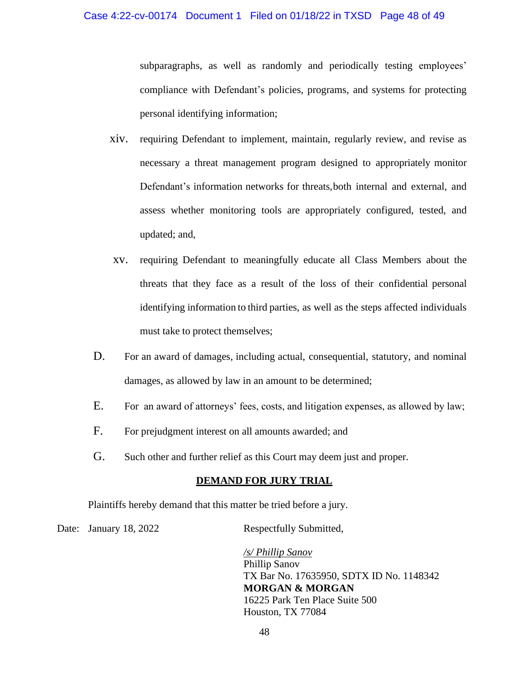subparagraphs, as well as randomly and periodically testing employees' compliance with Defendant's policies, programs, and systems for protecting personal identifying information;

- xiv. requiring Defendant to implement, maintain, regularly review, and revise as necessary a threat management program designed to appropriately monitor Defendant's information networks for threats,both internal and external, and assess whether monitoring tools are appropriately configured, tested, and updated; and,
- xv. requiring Defendant to meaningfully educate all Class Members about the threats that they face as a result of the loss of their confidential personal identifying information to third parties, as well as the steps affected individuals must take to protect themselves;
- D. For an award of damages, including actual, consequential, statutory, and nominal damages, as allowed by law in an amount to be determined;
- E. For an award of attorneys' fees, costs, and litigation expenses, as allowed by law;
- F. For prejudgment interest on all amounts awarded; and
- G. Such other and further relief as this Court may deem just and proper.

## **DEMAND FOR JURY TRIAL**

Plaintiffs hereby demand that this matter be tried before a jury.

Date: January 18, 2022 Respectfully Submitted,

*/s/ Phillip Sanov* Phillip Sanov TX Bar No. 17635950, SDTX ID No. 1148342 **MORGAN & MORGAN** 16225 Park Ten Place Suite 500 Houston, TX 77084